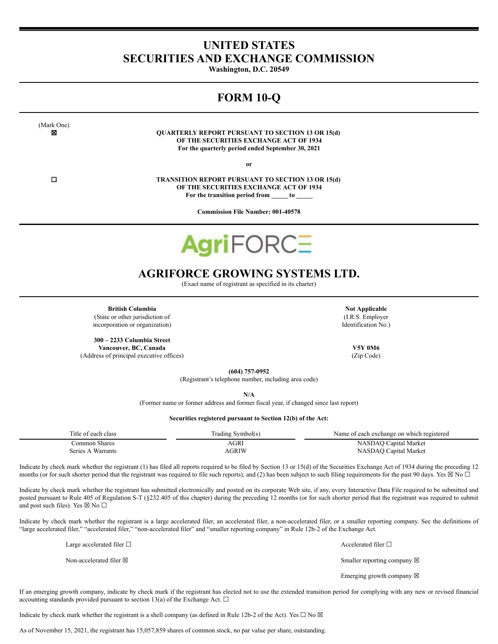# **UNITED STATES SECURITIES AND EXCHANGE COMMISSION**

**Washington, D.C. 20549**

# **FORM 10-Q**

(Mark One)

☒ **QUARTERLY REPORT PURSUANT TO SECTION 13 OR 15(d) OF THE SECURITIES EXCHANGE ACT OF 1934 For the quarterly period ended September 30, 2021**

**or**

☐ **TRANSITION REPORT PURSUANT TO SECTION 13 OR 15(d) OF THE SECURITIES EXCHANGE ACT OF 1934 For the transition period from \_\_\_\_\_ to \_\_\_\_\_**

**Commission File Number: 001-40578**

# **AgriFORC=**

# **AGRIFORCE GROWING SYSTEMS LTD.**

(Exact name of registrant as specified in its charter)

**British Columbia Not Applicable Not Applicable** (State or other jurisdiction of incorporation or organization)

**300 – 2233 Columbia Street Vancouver, BC, Canada V5Y 0M6** (Address of principal executive offices) (Zip Code)

(I.R.S. Employer Identification No.)

**(604) 757-0952**

(Registrant's telephone number, including area code)

**N/A**

(Former name or former address and former fiscal year, if changed since last report)

# **Securities registered pursuant to Section 12(b) of the Act:**

| Title of each class | Trading Symbol(s) | Name of each exchange on which registered |
|---------------------|-------------------|-------------------------------------------|
| Common Shares       | AGRI              | NASDAQ Capital Market                     |
| Series A Warrants   | AGRIW             | NASDAO Capital Market                     |

Indicate by check mark whether the registrant (1) has filed all reports required to be filed by Section 13 or 15(d) of the Securities Exchange Act of 1934 during the preceding 12 months (or for such shorter period that the registrant was required to file such reports), and (2) has been subject to such filing requirements for the past 90 days. Yes  $\boxtimes$  No  $\Box$ 

Indicate by check mark whether the registrant has submitted electronically and posted on its corporate Web site, if any, every Interactive Data File required to be submitted and posted pursuant to Rule 405 of Regulation S-T (§232.405 of this chapter) during the preceding 12 months (or for such shorter period that the registrant was required to submit and post such files). Yes  $\boxtimes$  No  $\square$ 

Indicate by check mark whether the registrant is a large accelerated filer, an accelerated filer, a non-accelerated filer, or a smaller reporting company. See the definitions of "large accelerated filer," "accelerated filer," "non-accelerated filer" and "smaller reporting company" in Rule 12b-2 of the Exchange Act.

> Non-accelerated filer ⊠ interval in the second state of the system of the Smaller reporting company ⊠ Emerging growth company  $\boxtimes$

Large accelerated filer □ accelerated filer □ accelerated filer □

If an emerging growth company, indicate by check mark if the registrant has elected not to use the extended transition period for complying with any new or revised financial accounting standards provided pursuant to section 13(a) of the Exchange Act.  $\Box$ 

Indicate by check mark whether the registrant is a shell company (as defined in Rule 12b-2 of the Act). Yes  $\Box$  No  $\boxtimes$ 

As of November 15, 2021, the registrant has 15,057,859 shares of common stock, no par value per share, outstanding.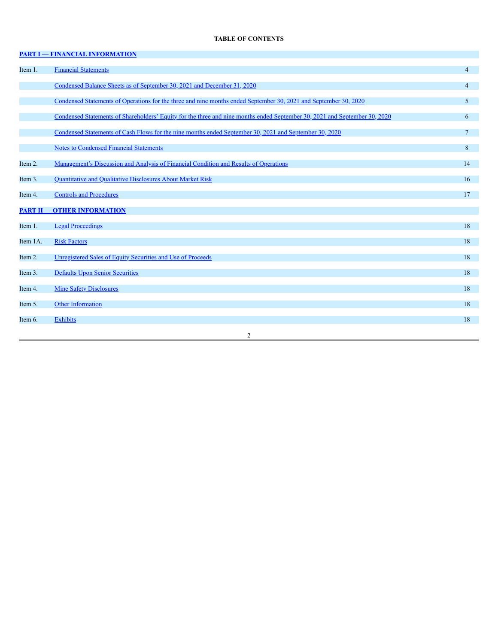# **TABLE OF CONTENTS**

|          | <b>PART I - FINANCIAL INFORMATION</b>                                                                                      |                 |
|----------|----------------------------------------------------------------------------------------------------------------------------|-----------------|
| Item 1.  | <b>Financial Statements</b>                                                                                                | $\overline{4}$  |
|          | Condensed Balance Sheets as of September 30, 2021 and December 31, 2020                                                    | $\overline{4}$  |
|          | Condensed Statements of Operations for the three and nine months ended September 30, 2021 and September 30, 2020           | 5 <sup>1</sup>  |
|          | Condensed Statements of Shareholders' Equity for the three and nine months ended September 30, 2021 and September 30, 2020 | 6               |
|          | Condensed Statements of Cash Flows for the nine months ended September 30, 2021 and September 30, 2020                     | $7\overline{ }$ |
|          | <b>Notes to Condensed Financial Statements</b>                                                                             | 8               |
| Item 2.  | <u>Management's Discussion and Analysis of Financial Condition and Results of Operations</u>                               | 14              |
| Item 3.  | <b>Ouantitative and Qualitative Disclosures About Market Risk</b>                                                          | 16              |
| Item 4.  | <b>Controls and Procedures</b>                                                                                             | 17              |
|          | <b>PART II - OTHER INFORMATION</b>                                                                                         |                 |
| Item 1.  | <b>Legal Proceedings</b>                                                                                                   | 18              |
| Item 1A. | <b>Risk Factors</b>                                                                                                        | 18              |
| Item 2.  | Unregistered Sales of Equity Securities and Use of Proceeds                                                                | 18              |
| Item 3.  | <b>Defaults Upon Senior Securities</b>                                                                                     | 18              |
| Item 4.  | <b>Mine Safety Disclosures</b>                                                                                             | 18              |
| Item 5.  | <b>Other Information</b>                                                                                                   | 18              |
| Item 6.  | <b>Exhibits</b>                                                                                                            | 18              |
|          | $\overline{c}$                                                                                                             |                 |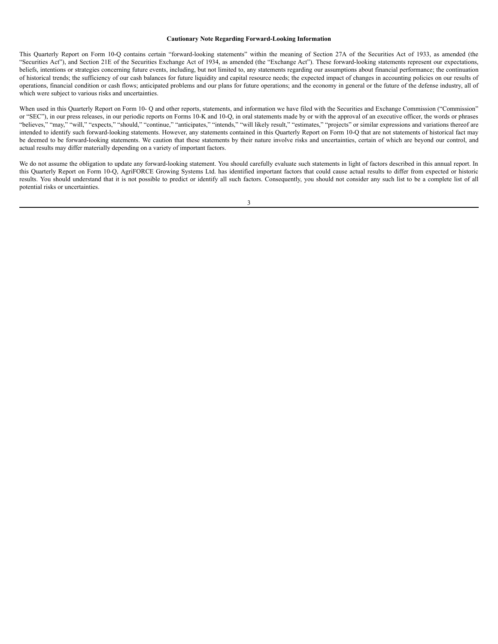#### **Cautionary Note Regarding Forward-Looking Information**

This Quarterly Report on Form 10-Q contains certain "forward-looking statements" within the meaning of Section 27A of the Securities Act of 1933, as amended (the "Securities Act"), and Section 21E of the Securities Exchange Act of 1934, as amended (the "Exchange Act"). These forward-looking statements represent our expectations, beliefs, intentions or strategies concerning future events, including, but not limited to, any statements regarding our assumptions about financial performance; the continuation of historical trends; the sufficiency of our cash balances for future liquidity and capital resource needs; the expected impact of changes in accounting policies on our results of operations, financial condition or cash flows; anticipated problems and our plans for future operations; and the economy in general or the future of the defense industry, all of which were subject to various risks and uncertainties.

When used in this Quarterly Report on Form 10- Q and other reports, statements, and information we have filed with the Securities and Exchange Commission "Commission" or "SEC"), in our press releases, in our periodic reports on Forms 10-K and 10-Q, in oral statements made by or with the approval of an executive officer, the words or phrases "believes," "may," "will," "expects," "should," "continue," "anticipates," "intends," "will likely result," "estimates," "projects" or similar expressions and variations thereof are intended to identify such forward-looking statements. However, any statements contained in this Quarterly Report on Form 10-Q that are not statements of historical fact may be deemed to be forward-looking statements. We caution that these statements by their nature involve risks and uncertainties, certain of which are beyond our control, and actual results may differ materially depending on a variety of important factors.

We do not assume the obligation to update any forward-looking statement. You should carefully evaluate such statements in light of factors described in this annual report. In this Quarterly Report on Form 10-Q, AgriFORCE Growing Systems Ltd. has identified important factors that could cause actual results to differ from expected or historic results. You should understand that it is not possible to predict or identify all such factors. Consequently, you should not consider any such list to be a complete list of all potential risks or uncertainties.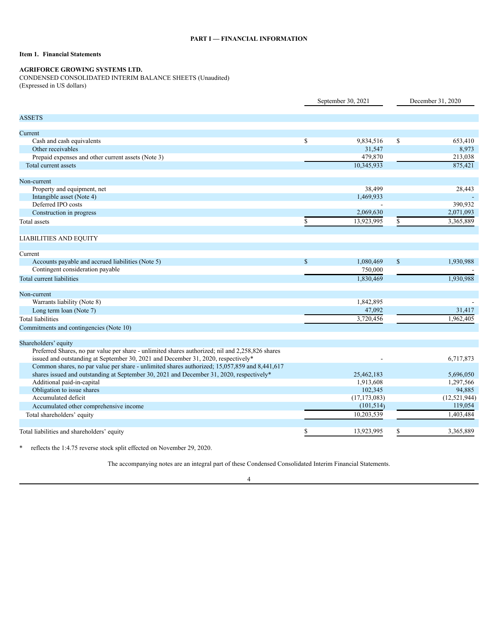# <span id="page-4-1"></span><span id="page-4-0"></span>**Item 1. Financial Statements**

# **AGRIFORCE GROWING SYSTEMS LTD.**

<span id="page-4-2"></span>CONDENSED CONSOLIDATED INTERIM BALANCE SHEETS (Unaudited)

(Expressed in US dollars)

|                                                                                                  | September 30, 2021 |                | December 31, 2020 |                |  |
|--------------------------------------------------------------------------------------------------|--------------------|----------------|-------------------|----------------|--|
| <b>ASSETS</b>                                                                                    |                    |                |                   |                |  |
|                                                                                                  |                    |                |                   |                |  |
| Current                                                                                          |                    |                |                   |                |  |
| Cash and cash equivalents                                                                        | \$                 | 9,834,516      | \$                | 653,410        |  |
| Other receivables                                                                                |                    | 31,547         |                   | 8,973          |  |
| Prepaid expenses and other current assets (Note 3)                                               |                    | 479,870        |                   | 213,038        |  |
| Total current assets                                                                             |                    | 10.345.933     |                   | 875,421        |  |
| Non-current                                                                                      |                    |                |                   |                |  |
| Property and equipment, net                                                                      |                    | 38,499         |                   | 28,443         |  |
| Intangible asset (Note 4)                                                                        |                    | 1,469,933      |                   |                |  |
| Deferred IPO costs                                                                               |                    |                |                   | 390,932        |  |
| Construction in progress                                                                         |                    | 2,069,630      |                   | 2,071,093      |  |
| Total assets                                                                                     | \$                 | 13,923,995     | \$                | 3,365,889      |  |
|                                                                                                  |                    |                |                   |                |  |
| <b>LIABILITIES AND EQUITY</b>                                                                    |                    |                |                   |                |  |
|                                                                                                  |                    |                |                   |                |  |
| Current                                                                                          |                    |                |                   |                |  |
| Accounts payable and accrued liabilities (Note 5)                                                | $\mathbf S$        | 1,080,469      | $\mathcal{S}$     | 1,930,988      |  |
| Contingent consideration payable                                                                 |                    | 750,000        |                   |                |  |
| Total current liabilities                                                                        |                    | 1,830,469      |                   | 1,930,988      |  |
|                                                                                                  |                    |                |                   |                |  |
| Non-current                                                                                      |                    |                |                   |                |  |
| Warrants liability (Note 8)                                                                      |                    | 1,842,895      |                   |                |  |
| Long term loan (Note 7)                                                                          |                    | 47,092         |                   | 31,417         |  |
| <b>Total liabilities</b>                                                                         |                    | 3,720,456      |                   | 1.962.405      |  |
| Commitments and contingencies (Note 10)                                                          |                    |                |                   |                |  |
| Shareholders' equity                                                                             |                    |                |                   |                |  |
| Preferred Shares, no par value per share - unlimited shares authorized; nil and 2,258,826 shares |                    |                |                   |                |  |
| issued and outstanding at September 30, 2021 and December 31, 2020, respectively*                |                    |                |                   | 6,717,873      |  |
| Common shares, no par value per share - unlimited shares authorized; 15,057,859 and 8,441,617    |                    |                |                   |                |  |
| shares issued and outstanding at September 30, 2021 and December 31, 2020, respectively*         |                    | 25,462,183     |                   | 5,696,050      |  |
| Additional paid-in-capital                                                                       |                    | 1,913,608      |                   | 1,297,566      |  |
| Obligation to issue shares                                                                       |                    | 102,345        |                   | 94,885         |  |
| Accumulated deficit                                                                              |                    | (17, 173, 083) |                   | (12, 521, 944) |  |
| Accumulated other comprehensive income                                                           |                    | (101, 514)     |                   | 119,054        |  |
| Total shareholders' equity                                                                       |                    | 10,203,539     |                   | 1,403,484      |  |
|                                                                                                  |                    |                |                   |                |  |
| Total liabilities and shareholders' equity                                                       | \$                 | 13,923,995     | S                 | 3,365,889      |  |

\* reflects the 1:4.75 reverse stock split effected on November 29, 2020.

The accompanying notes are an integral part of these Condensed Consolidated Interim Financial Statements.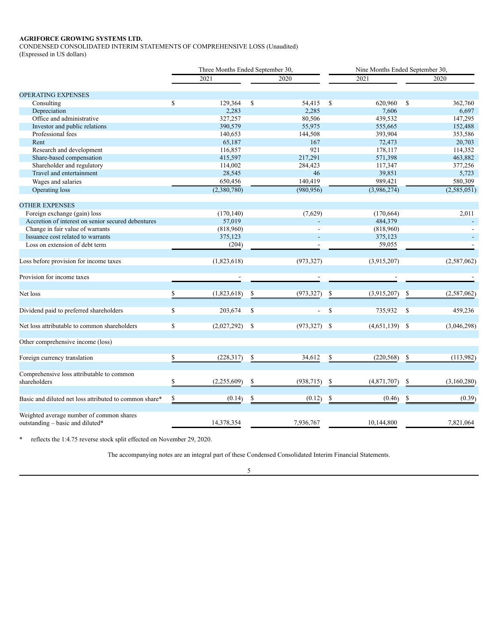# **AGRIFORCE GROWING SYSTEMS LTD.**

<span id="page-5-0"></span>CONDENSED CONSOLIDATED INTERIM STATEMENTS OF COMPREHENSIVE LOSS (Unaudited)

(Expressed in US dollars)

|                                                        | Three Months Ended September 30, |             |     |                | Nine Months Ended September 30, |                  |    |               |
|--------------------------------------------------------|----------------------------------|-------------|-----|----------------|---------------------------------|------------------|----|---------------|
|                                                        |                                  | 2021        |     | 2020           |                                 | 2021             |    | 2020          |
| <b>OPERATING EXPENSES</b>                              |                                  |             |     |                |                                 |                  |    |               |
| Consulting                                             | $\mathbb{S}$                     | 129,364     | \$  | 54,415         | $\mathbf S$                     | 620,960          | \$ | 362,760       |
| Depreciation                                           |                                  | 2,283       |     | 2,285          |                                 | 7,606            |    | 6,697         |
| Office and administrative                              |                                  | 327,257     |     | 80,506         |                                 | 439,532          |    | 147,295       |
| Investor and public relations                          |                                  | 390,579     |     | 55,975         |                                 | 555,665          |    | 152,488       |
| Professional fees                                      |                                  | 140,653     |     | 144,508        |                                 | 393,904          |    | 353,586       |
| Rent                                                   |                                  | 65,187      |     | 167            |                                 | 72,473           |    | 20,703        |
| Research and development                               |                                  | 116,857     |     | 921            |                                 | 178,117          |    | 114,352       |
| Share-based compensation                               |                                  | 415,597     |     | 217,291        |                                 | 571,398          |    | 463,882       |
| Shareholder and regulatory                             |                                  | 114,002     |     | 284,423        |                                 | 117,347          |    | 377,256       |
| Travel and entertainment                               |                                  | 28,545      |     | 46             |                                 | 39,851           |    | 5,723         |
| Wages and salaries                                     |                                  | 650,456     |     | 140,419        |                                 | 989,421          |    | 580,309       |
|                                                        |                                  | (2,380,780) |     | (980, 956)     |                                 | (3,986,274)      |    | (2,585,051)   |
| Operating loss                                         |                                  |             |     |                |                                 |                  |    |               |
| <b>OTHER EXPENSES</b>                                  |                                  |             |     |                |                                 |                  |    |               |
| Foreign exchange (gain) loss                           |                                  | (170, 140)  |     | (7,629)        |                                 | (170, 664)       |    | 2,011         |
| Accretion of interest on senior secured debentures     |                                  | 57,019      |     |                |                                 | 484,379          |    |               |
| Change in fair value of warrants                       |                                  | (818,960)   |     |                |                                 | (818,960)        |    |               |
| Issuance cost related to warrants                      |                                  | 375,123     |     |                |                                 | 375,123          |    |               |
| Loss on extension of debt term                         |                                  | (204)       |     |                |                                 | 59,055           |    |               |
|                                                        |                                  |             |     |                |                                 |                  |    |               |
| Loss before provision for income taxes                 |                                  | (1,823,618) |     | (973, 327)     |                                 | (3,915,207)      |    | (2,587,062)   |
| Provision for income taxes                             |                                  |             |     |                |                                 |                  |    |               |
|                                                        |                                  |             |     |                |                                 |                  |    |               |
| Net loss                                               | \$                               | (1,823,618) | \$  | (973, 327)     |                                 | (3,915,207)      | \$ | (2, 587, 062) |
|                                                        |                                  |             |     |                |                                 |                  |    |               |
| Dividend paid to preferred shareholders                | \$                               | 203,674     | \$  | $\blacksquare$ | <sup>\$</sup>                   | 735,932          | -S | 459,236       |
| Net loss attributable to common shareholders           | \$                               | (2,027,292) | -\$ | $(973,327)$ \$ |                                 | $(4,651,139)$ \$ |    | (3,046,298)   |
| Other comprehensive income (loss)                      |                                  |             |     |                |                                 |                  |    |               |
| Foreign currency translation                           | \$                               | (228, 317)  | \$  | 34,612         | <sup>\$</sup>                   | (220, 568)       | \$ | (113,982)     |
| Comprehensive loss attributable to common              |                                  |             |     |                |                                 |                  |    |               |
| shareholders                                           | \$                               | (2,255,609) | \$  | (938, 715)     | \$                              | (4,871,707)      | S  | (3,160,280)   |
| Basic and diluted net loss attributed to common share* | \$                               | (0.14)      | \$  | (0.12)         | \$                              | (0.46)           | \$ | (0.39)        |
|                                                        |                                  |             |     |                |                                 |                  |    |               |
| Weighted average number of common shares               |                                  |             |     |                |                                 |                  |    |               |
| outstanding – basic and diluted*                       |                                  | 14,378,354  |     | 7,936,767      |                                 | 10,144,800       |    | 7,821,064     |

\* reflects the 1:4.75 reverse stock split effected on November 29, 2020.

The accompanying notes are an integral part of these Condensed Consolidated Interim Financial Statements.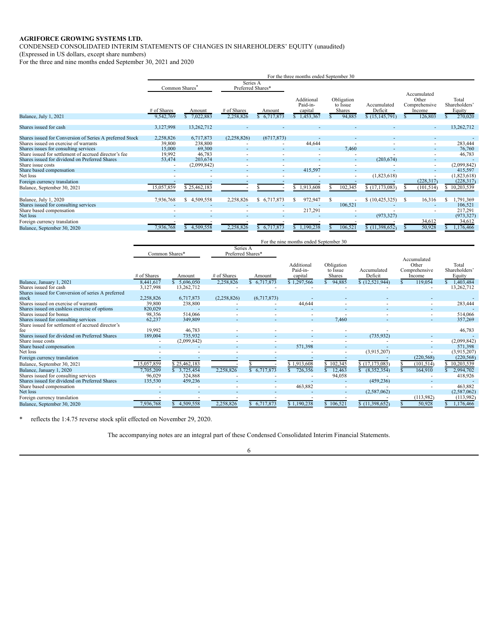# **AGRIFORCE GROWING SYSTEMS LTD.**

<span id="page-6-0"></span>CONDENSED CONSOLIDATED INTERIM STATEMENTS OF CHANGES IN SHAREHOLDERS' EQUITY (unaudited)

(Expressed in US dollars, except share numbers)

For the three and nine months ended September 30, 2021 and 2020

|                                                          | For the three months ended September 30 |                            |                               |                       |                                                  |                                            |                                            |                                                            |    |                                             |
|----------------------------------------------------------|-----------------------------------------|----------------------------|-------------------------------|-----------------------|--------------------------------------------------|--------------------------------------------|--------------------------------------------|------------------------------------------------------------|----|---------------------------------------------|
|                                                          | Common Shares <sup>7</sup>              |                            | Series A<br>Preferred Shares* |                       |                                                  |                                            |                                            |                                                            |    |                                             |
| Balance, July 1, 2021                                    | # of Shares<br>9,542,769                | Amount<br>7,022,883        | # of Shares<br>2,258,826      | Amount<br>\$6,717,873 | Additional<br>Paid-in-<br>capital<br>\$1,453,367 | Obligation<br>to Issue<br>Shares<br>94,885 | Accumulated<br>Deficit<br>\$(15, 145, 791) | Accumulated<br>Other<br>Comprehensive<br>Income<br>126,803 |    | Total<br>Shareholders'<br>Equity<br>270,020 |
| Shares issued for cash                                   | 3,127,998                               | 13,262,712                 |                               |                       |                                                  |                                            |                                            |                                                            |    | 13,262,712                                  |
|                                                          |                                         |                            |                               |                       |                                                  |                                            |                                            |                                                            |    |                                             |
| Shares issued for Conversion of Series A preferred Stock | 2,258,826                               | 6,717,873                  | (2,258,826)                   | (6717, 873)           |                                                  |                                            |                                            |                                                            |    |                                             |
| Shares issued on exercise of warrants                    | 39,800                                  | 238,800                    |                               |                       | 44,644                                           |                                            |                                            |                                                            | ٠  | 283,444                                     |
| Shares issues for consulting services                    | 15,000                                  | 69,300                     |                               |                       |                                                  | 7,460                                      |                                            |                                                            |    | 76,760                                      |
| Share issued for settlement of accrued director's fee    | 19,992                                  | 46,783                     |                               |                       |                                                  |                                            |                                            |                                                            |    | 46,783                                      |
| Shares issued for dividend on Preferred Shares           | 53,474                                  | 203,674                    |                               |                       |                                                  | ۰                                          | (203, 674)                                 |                                                            |    |                                             |
| Share issue costs                                        | ٠                                       | (2,099,842)                |                               | ۰                     |                                                  | ۰                                          |                                            |                                                            | ۰. | (2,099,842)                                 |
| Share based compensation                                 |                                         |                            |                               |                       | 415,597                                          |                                            |                                            |                                                            |    | 415,597                                     |
| Net loss                                                 |                                         |                            |                               |                       |                                                  |                                            | (1,823,618)                                |                                                            |    | (1,823,618)                                 |
| Foreign currency translation                             |                                         |                            |                               |                       |                                                  |                                            |                                            | (228, 317)                                                 |    | (228, 317)                                  |
| Balance, September 30, 2021                              | 15,057,859                              | \$25,462,183               |                               |                       | \$1,913,608                                      | 102,345                                    | \$(17,173,083)                             | (101, 514)                                                 |    | 10,203,539                                  |
| Balance, July 1, 2020                                    | 7,936,768                               | 4,509,558<br><sup>\$</sup> | 2,258,826                     | \$ 6,717,873          | 972,947                                          |                                            | (10, 425, 325)                             | 16,316<br>-S                                               |    | .791,369                                    |
| Shares issued for consulting services                    |                                         |                            |                               |                       |                                                  | 106,521                                    |                                            |                                                            |    | 106,521                                     |
| Share based compensation                                 |                                         |                            |                               |                       | 217,291                                          |                                            |                                            |                                                            |    | 217,291                                     |
| Net loss                                                 |                                         |                            |                               |                       |                                                  |                                            | (973, 327)                                 |                                                            |    | (973, 327)                                  |
| Foreign currency translation                             |                                         |                            |                               |                       |                                                  |                                            |                                            | 34,612                                                     |    | 34,612                                      |
| Balance, September 30, 2020                              | ,936,768                                | 4,509,558                  | 2,258,826                     | \$6,717,873           | \$1,190,238                                      | 106,521                                    | \$(11,398,652)                             | 50,928                                                     |    | 1,176,466                                   |

|                                                    | For the nine months ended September 30 |              |                               |             |                                   |                                  |                        |                                                 |                                  |
|----------------------------------------------------|----------------------------------------|--------------|-------------------------------|-------------|-----------------------------------|----------------------------------|------------------------|-------------------------------------------------|----------------------------------|
|                                                    | Common Shares*                         |              | Series A<br>Preferred Shares* |             |                                   |                                  |                        |                                                 |                                  |
|                                                    | # of Shares                            | Amount       | # of Shares                   | Amount      | Additional<br>Paid-in-<br>capital | Obligation<br>to Issue<br>Shares | Accumulated<br>Deficit | Accumulated<br>Other<br>Comprehensive<br>Income | Total<br>Shareholders'<br>Equity |
| Balance, January 1, 2021                           | 8,441,617                              | \$5,696,050  | 2,258,826                     | \$6,717,873 | \$1,297,566                       | \$94,885                         | \$(12, 521, 944)       | 119,054                                         | 1,403,484                        |
| Shares issued for cash                             | 3,127,998                              | 13,262,712   |                               |             |                                   |                                  |                        |                                                 | 13,262,712                       |
| Shares issued for Conversion of series A preferred |                                        |              |                               |             |                                   |                                  |                        |                                                 |                                  |
| stock                                              | 2,258,826                              | 6,717,873    | (2,258,826)                   | (6,717,873) |                                   |                                  |                        |                                                 |                                  |
| Shares issued on exercise of warrants              | 39,800                                 | 238,800      |                               |             | 44,644                            |                                  |                        |                                                 | 283,444                          |
| Shares issued on cashless exercise of options      | 820,029                                |              |                               |             |                                   |                                  |                        |                                                 |                                  |
| Shares issued for bonus                            | 98,356                                 | 514,066      |                               |             |                                   |                                  |                        |                                                 | 514,066                          |
| Shares issued for consulting services              | 62,237                                 | 349,809      |                               |             |                                   | 7,460                            |                        |                                                 | 357,269                          |
| Share issued for settlement of accrued director's  |                                        |              |                               |             |                                   |                                  |                        |                                                 |                                  |
| fee                                                | 19,992                                 | 46,783       |                               |             |                                   |                                  |                        |                                                 | 46,783                           |
| Shares issued for dividend on Preferred Shares     | 189,004                                | 735,932      |                               |             |                                   |                                  | (735, 932)             | ٠                                               |                                  |
| Share issue costs                                  |                                        | (2,099,842)  |                               |             |                                   |                                  |                        | ۰                                               | (2,099,842)                      |
| Share based compensation                           |                                        |              |                               |             | 571,398                           |                                  |                        |                                                 | 571,398                          |
| Net loss                                           |                                        |              |                               |             |                                   |                                  | (3,915,207)            |                                                 | (3,915,207)                      |
| Foreign currency translation                       |                                        |              |                               |             |                                   |                                  |                        | (220, 568)                                      | (220, 568)                       |
| Balance, September 30, 2021                        | 15,057,859                             | \$25,462,183 |                               |             | \$1,913,608                       | 102,345                          | \$(17, 173, 083)       | (101, 514)                                      | 10,203,539                       |
| Balance, January 1, 2020                           | 7,705,209                              | \$3,725,454  | 2,258,826                     | \$6,717,873 | 726,356                           | 12,463                           | (8,352,354)            | 164,910                                         | 2,994,702                        |
| Shares issued for consulting services              | 96,029                                 | 324,868      |                               |             |                                   | 94,058                           |                        |                                                 | 418,926                          |
| Shares issued for dividend on Preferred Shares     | 135,530                                | 459,236      |                               |             |                                   |                                  | (459, 236)             |                                                 |                                  |
| Share based compensation                           |                                        |              |                               |             | 463,882                           |                                  |                        |                                                 | 463,882                          |
| Net loss                                           |                                        |              |                               |             |                                   | ٠                                | (2,587,062)            |                                                 | (2,587,062)                      |
| Foreign currency translation                       |                                        |              |                               |             |                                   |                                  |                        | (113,982)                                       | (113,982)                        |
| Balance, September 30, 2020                        | 7,936,768                              | 4,509,558    | 2,258,826                     | 6,717,873   | \$1,190,238                       | 106,521                          | \$(11,398,652)         | 50,928                                          | 1,176,466                        |

\* reflects the 1:4.75 reverse stock split effected on November 29, 2020.

The accompanying notes are an integral part of these Condensed Consolidated Interim Financial Statements.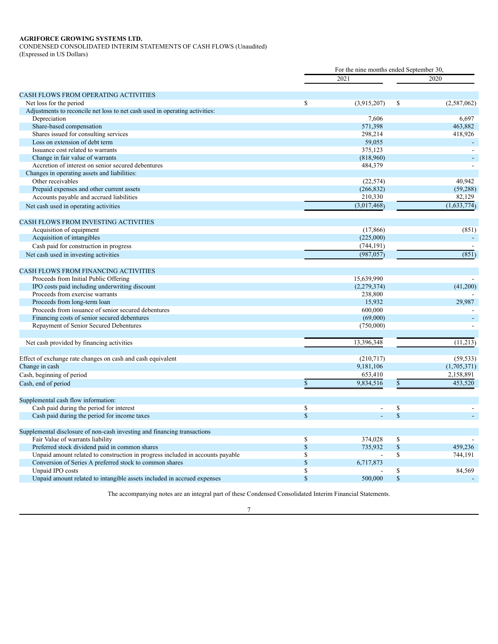# **AGRIFORCE GROWING SYSTEMS LTD.**

<span id="page-7-0"></span>CONDENSED CONSOLIDATED INTERIM STATEMENTS OF CASH FLOWS (Unaudited)

(Expressed in US Dollars)

|                                                                                | For the nine months ended September 30, |               |              |             |  |
|--------------------------------------------------------------------------------|-----------------------------------------|---------------|--------------|-------------|--|
|                                                                                |                                         | 2021          |              | 2020        |  |
| CASH FLOWS FROM OPERATING ACTIVITIES                                           |                                         |               |              |             |  |
| Net loss for the period                                                        | \$                                      | (3,915,207)   | \$           | (2,587,062) |  |
| Adjustments to reconcile net loss to net cash used in operating activities:    |                                         |               |              |             |  |
| Depreciation                                                                   |                                         | 7,606         |              | 6,697       |  |
| Share-based compensation                                                       |                                         | 571,398       |              | 463,882     |  |
| Shares issued for consulting services                                          |                                         | 298,214       |              | 418,926     |  |
| Loss on extension of debt term                                                 |                                         | 59,055        |              |             |  |
| Issuance cost related to warrants                                              |                                         | 375,123       |              |             |  |
| Change in fair value of warrants                                               |                                         | (818,960)     |              |             |  |
| Accretion of interest on senior secured debentures                             |                                         | 484,379       |              |             |  |
| Changes in operating assets and liabilities:                                   |                                         |               |              |             |  |
| Other receivables                                                              |                                         | (22, 574)     |              | 40,942      |  |
| Prepaid expenses and other current assets                                      |                                         | (266, 832)    |              | (59, 288)   |  |
| Accounts payable and accrued liabilities                                       |                                         | 210,330       |              | 82,129      |  |
| Net cash used in operating activities                                          |                                         | (3,017,468)   |              | (1,633,774) |  |
| <b>CASH FLOWS FROM INVESTING ACTIVITIES</b>                                    |                                         |               |              |             |  |
|                                                                                |                                         | (17,866)      |              | (851)       |  |
| Acquisition of equipment                                                       |                                         |               |              |             |  |
| Acquisition of intangibles                                                     |                                         | (225,000)     |              |             |  |
| Cash paid for construction in progress                                         |                                         | (744, 191)    |              |             |  |
| Net cash used in investing activities                                          |                                         | (987, 057)    |              | (851)       |  |
| <b>CASH FLOWS FROM FINANCING ACTIVITIES</b>                                    |                                         |               |              |             |  |
| Proceeds from Initial Public Offering                                          |                                         | 15,639,990    |              |             |  |
| IPO costs paid including underwriting discount                                 |                                         | (2, 279, 374) |              | (41,200)    |  |
| Proceeds from exercise warrants                                                |                                         | 238,800       |              |             |  |
| Proceeds from long-term loan                                                   |                                         | 15,932        |              | 29,987      |  |
| Proceeds from issuance of senior secured debentures                            |                                         | 600,000       |              |             |  |
| Financing costs of senior secured debentures                                   |                                         | (69,000)      |              |             |  |
| Repayment of Senior Secured Debentures                                         |                                         | (750,000)     |              |             |  |
| Net cash provided by financing activities                                      |                                         | 13,396,348    |              | (11,213)    |  |
|                                                                                |                                         |               |              |             |  |
| Effect of exchange rate changes on cash and cash equivalent                    |                                         | (210,717)     |              | (59, 533)   |  |
| Change in cash                                                                 |                                         | 9,181,106     |              | (1,705,371) |  |
| Cash, beginning of period                                                      |                                         | 653,410       |              | 2,158,891   |  |
| Cash, end of period                                                            | $\mathbb{S}$                            | 9,834,516     | $\mathbb{S}$ | 453,520     |  |
| Supplemental cash flow information:                                            |                                         |               |              |             |  |
| Cash paid during the period for interest                                       | \$                                      |               | \$           |             |  |
| Cash paid during the period for income taxes                                   | $\mathbf S$                             |               | $\mathbf S$  |             |  |
|                                                                                |                                         |               |              |             |  |
| Supplemental disclosure of non-cash investing and financing transactions       |                                         |               |              |             |  |
| Fair Value of warrants liability                                               | \$                                      | 374,028       | \$           |             |  |
| Preferred stock dividend paid in common shares                                 | $\mathbb{S}$                            | 735.932       | $\mathbb{S}$ | 459,236     |  |
| Unpaid amount related to construction in progress included in accounts payable | $\mathbf S$                             |               | \$           | 744,191     |  |
| Conversion of Series A preferred stock to common shares                        | $\mathbb S$                             | 6,717,873     |              |             |  |
| Unpaid IPO costs                                                               | \$                                      |               | \$           | 84,569      |  |
| Unpaid amount related to intangible assets included in accrued expenses        | $\mathbb{S}$                            | 500,000       | $\mathbb{S}$ |             |  |

The accompanying notes are an integral part of these Condensed Consolidated Interim Financial Statements.

7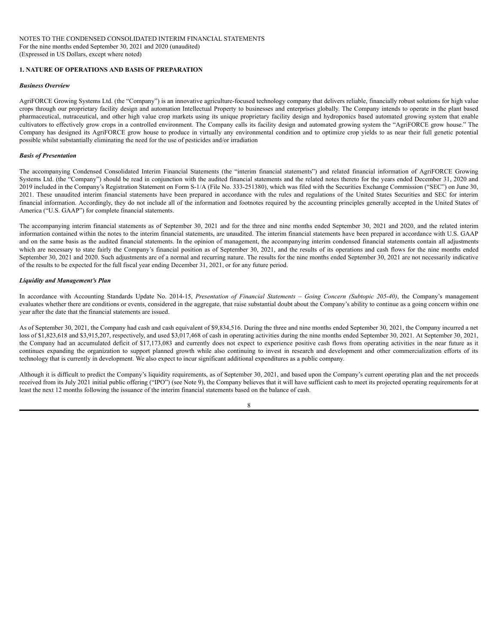# <span id="page-8-0"></span>**1. NATURE OF OPERATIONS AND BASIS OF PREPARATION**

#### *Business Overview*

AgriFORCE Growing Systems Ltd. (the "Company") is an innovative agriculture-focused technology company that delivers reliable, financially robust solutions for high value crops through our proprietary facility design and automation Intellectual Property to businesses and enterprises globally. The Company intends to operate in the plant based pharmaceutical, nutraceutical, and other high value crop markets using its unique proprietary facility design and hydroponics based automated growing system that enable cultivators to effectively grow crops in a controlled environment. The Company calls its facility design and automated growing system the "AgriFORCE grow house." The Company has designed its AgriFORCE grow house to produce in virtually any environmental condition and to optimize crop yields to as near their full genetic potential possible whilst substantially eliminating the need for the use of pesticides and/or irradiation

#### *Basis of Presentation*

The accompanying Condensed Consolidated Interim Financial Statements (the "interim financial statements") and related financial information of AgriFORCE Growing Systems Ltd. (the "Company") should be read in conjunction with the audited financial statements and the related notes thereto for the years ended December 31, 2020 and 2019 included in the Company's Registration Statement on Form S-1/A (File No. 333-251380), which was filed with the Securities Exchange Commission ("SEC") on June 30, 2021. These unaudited interim financial statements have been prepared in accordance with the rules and regulations of the United States Securities and SEC for interim financial information. Accordingly, they do not include all of the information and footnotes required by the accounting principles generally accepted in the United States of America ("U.S. GAAP") for complete financial statements.

The accompanying interim financial statements as of September 30, 2021 and for the three and nine months ended September 30, 2021 and 2020, and the related interim information contained within the notes to the interim financial statements, are unaudited. The interim financial statements have been prepared in accordance with U.S. GAAP and on the same basis as the audited financial statements. In the opinion of management, the accompanying interim condensed financial statements contain all adjustments which are necessary to state fairly the Company's financial position as of September 30, 2021, and the results of its operations and cash flows for the nine months ended September 30, 2021 and 2020. Such adjustments are of a normal and recurring nature. The results for the nine months ended September 30, 2021 are not necessarily indicative of the results to be expected for the full fiscal year ending December 31, 2021, or for any future period.

#### *Liquidity and Management's Plan*

In accordance with Accounting Standards Update No. 2014-15, *Presentation of Financial Statements – Going Concern (Subtopic 205-40)*, the Company's management evaluates whether there are conditions or events, considered in the aggregate, that raise substantial doubt about the Company's ability to continue as a going concern within one year after the date that the financial statements are issued.

As of September 30, 2021, the Company had cash and cash equivalent of \$9,834,516. During the three and nine months ended September 30, 2021, the Company incurred a net loss of \$1,823,618 and \$3,915,207, respectively, and used \$3,017,468 of cash in operating activities during the nine months ended September 30, 2021. At September 30, 2021, the Company had an accumulated deficit of \$17,173,083 and currently does not expect to experience positive cash flows from operating activities in the near future as it continues expanding the organization to support planned growth while also continuing to invest in research and development and other commercialization efforts of its technology that is currently in development. We also expect to incur significant additional expenditures as a public company.

Although it is difficult to predict the Company's liquidity requirements, as of September 30, 2021, and based upon the Company's current operating plan and the net proceeds received from its July 2021 initial public offering ("IPO") (see Note 9), the Company believes that it will have sufficient cash to meet its projected operating requirements for at least the next 12 months following the issuance of the interim financial statements based on the balance of cash.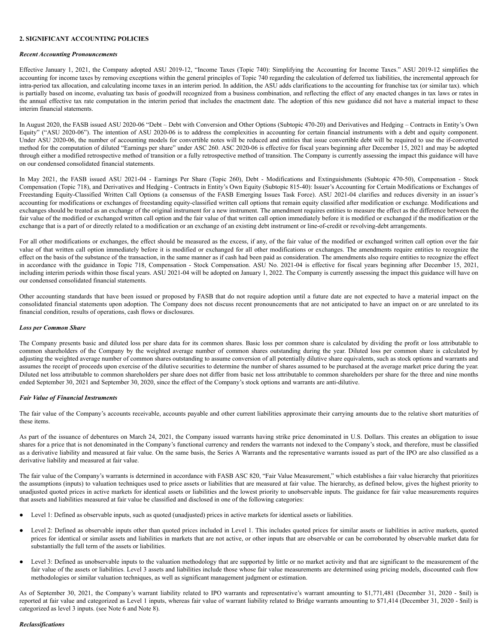#### **2. SIGNIFICANT ACCOUNTING POLICIES**

#### *Recent Accounting Pronouncements*

Effective January 1, 2021, the Company adopted ASU 2019-12, "Income Taxes (Topic 740): Simplifying the Accounting for Income Taxes." ASU 2019-12 simplifies the accounting for income taxes by removing exceptions within the general principles of Topic 740 regarding the calculation of deferred tax liabilities, the incremental approach for intra-period tax allocation, and calculating income taxes in an interim period. In addition, the ASU adds clarifications to the accounting for franchise tax (or similar tax). which is partially based on income, evaluating tax basis of goodwill recognized from a business combination, and reflecting the effect of any enacted changes in tax laws or rates in the annual effective tax rate computation in the interim period that includes the enactment date. The adoption of this new guidance did not have a material impact to these interim financial statements.

In August 2020, the FASB issued ASU 2020-06 "Debt – Debt with Conversion and Other Options (Subtopic 470-20) and Derivatives and Hedging – Contracts in Entity's Own Equity" ("ASU 2020-06"). The intention of ASU 2020-06 is to address the complexities in accounting for certain financial instruments with a debt and equity component. Under ASU 2020-06, the number of accounting models for convertible notes will be reduced and entities that issue convertible debt will be required to use the if-converted method for the computation of diluted "Earnings per share" under ASC 260. ASC 2020-06 is effective for fiscal years beginning after December 15, 2021 and may be adopted through either a modified retrospective method of transition or a fully retrospective method of transition. The Company is currently assessing the impact this guidance will have on our condensed consolidated financial statements.

In May 2021, the FASB issued ASU 2021-04 - Earnings Per Share (Topic 260), Debt - Modifications and Extinguishments (Subtopic 470-50), Compensation - Stock Compensation (Topic 718), and Derivatives and Hedging - Contracts in Entity's Own Equity (Subtopic 815-40): Issuer's Accounting for Certain Modifications or Exchanges of Freestanding Equity-Classified Written Call Options (a consensus of the FASB Emerging Issues Task Force). ASU 2021-04 clarifies and reduces diversity in an issuer's accounting for modifications or exchanges of freestanding equity-classified written call options that remain equity classified after modification or exchange. Modifications and exchanges should be treated as an exchange of the original instrument for a new instrument. The amendment requires entities to measure the effect as the difference between the fair value of the modified or exchanged written call option and the fair value of that written call option immediately before it is modified or exchanged if the modification or the exchange that is a part of or directly related to a modification or an exchange of an existing debt instrument or line-of-credit or revolving-debt arrangements.

For all other modifications or exchanges, the effect should be measured as the excess, if any, of the fair value of the modified or exchanged written call option over the fair value of that written call option immediately before it is modified or exchanged for all other modifications or exchanges. The amendments require entities to recognize the effect on the basis of the substance of the transaction, in the same manner as if cash had been paid as consideration. The amendments also require entities to recognize the effect in accordance with the guidance in Topic 718, Compensation - Stock Compensation. ASU No. 2021-04 is effective for fiscal years beginning after December 15, 2021, including interim periods within those fiscal years. ASU 2021-04 will be adopted on January 1, 2022. The Company is currently assessing the impact this guidance will have on our condensed consolidated financial statements.

Other accounting standards that have been issued or proposed by FASB that do not require adoption until a future date are not expected to have a material impact on the consolidated financial statements upon adoption. The Company does not discuss recent pronouncements that are not anticipated to have an impact on or are unrelated to its financial condition, results of operations, cash flows or disclosures.

#### *Loss per Common Share*

The Company presents basic and diluted loss per share data for its common shares. Basic loss per common share is calculated by dividing the profit or loss attributable to common shareholders of the Company by the weighted average number of common shares outstanding during the year. Diluted loss per common share is calculated by adjusting the weighted average number of common shares outstanding to assume conversion of all potentially dilutive share equivalents, such as stock options and warrants and assumes the receipt of proceeds upon exercise of the dilutive securities to determine the number of shares assumed to be purchased at the average market price during the year. Diluted net loss attributable to common shareholders per share does not differ from basic net loss attributable to common shareholders per share for the three and nine months ended September 30, 2021 and September 30, 2020, since the effect of the Company's stock options and warrants are anti-dilutive.

#### *Fair Value of Financial Instruments*

The fair value of the Company's accounts receivable, accounts payable and other current liabilities approximate their carrying amounts due to the relative short maturities of these items.

As part of the issuance of debentures on March 24, 2021, the Company issued warrants having strike price denominated in U.S. Dollars. This creates an obligation to issue shares for a price that is not denominated in the Company's functional currency and renders the warrants not indexed to the Company's stock, and therefore, must be classified as a derivative liability and measured at fair value. On the same basis, the Series A Warrants and the representative warrants issued as part of the IPO are also classified as a derivative liability and measured at fair value.

The fair value of the Company's warrants is determined in accordance with FASB ASC 820, "Fair Value Measurement," which establishes a fair value hierarchy that prioritizes the assumptions (inputs) to valuation techniques used to price assets or liabilities that are measured at fair value. The hierarchy, as defined below, gives the highest priority to unadjusted quoted prices in active markets for identical assets or liabilities and the lowest priority to unobservable inputs. The guidance for fair value measurements requires that assets and liabilities measured at fair value be classified and disclosed in one of the following categories:

- Level 1: Defined as observable inputs, such as quoted (unadjusted) prices in active markets for identical assets or liabilities.
- Level 2: Defined as observable inputs other than quoted prices included in Level 1. This includes quoted prices for similar assets or liabilities in active markets, quoted prices for identical or similar assets and liabilities in markets that are not active, or other inputs that are observable or can be corroborated by observable market data for substantially the full term of the assets or liabilities.
- Level 3: Defined as unobservable inputs to the valuation methodology that are supported by little or no market activity and that are significant to the measurement of the fair value of the assets or liabilities. Level 3 assets and liabilities include those whose fair value measurements are determined using pricing models, discounted cash flow methodologies or similar valuation techniques, as well as significant management judgment or estimation.

As of September 30, 2021, the Company's warrant liability related to IPO warrants and representative's warrant amounting to \$1,771,481 (December 31, 2020 - \$nil) is reported at fair value and categorized as Level 1 inputs, whereas fair value of warrant liability related to Bridge warrants amounting to \$71,414 (December 31, 2020 - \$nil) is categorized as level 3 inputs. (see Note 6 and Note 8).

#### *Reclassifications*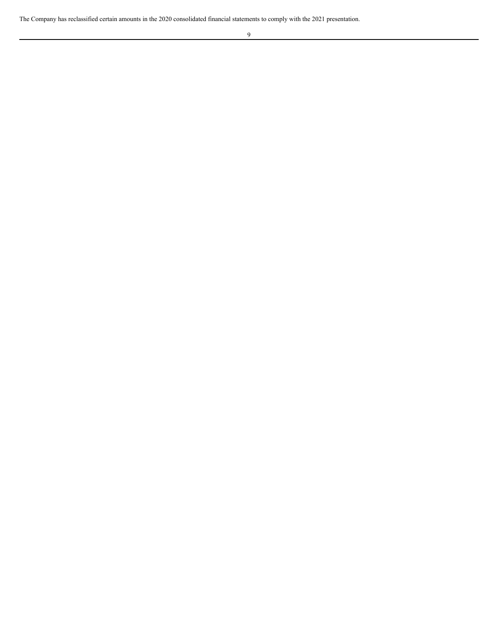The Company has reclassified certain amounts in the 2020 consolidated financial statements to comply with the 2021 presentation.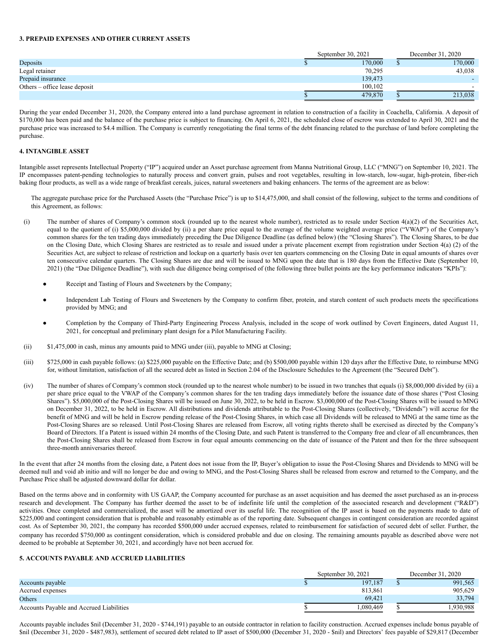#### **3. PREPAID EXPENSES AND OTHER CURRENT ASSETS**

|                               | September 30, 2021 | December 31, 2020 |  |  |
|-------------------------------|--------------------|-------------------|--|--|
| Deposits                      | 170,000            | 170,000           |  |  |
| Legal retainer                | 70.295             | 43,038            |  |  |
| Prepaid insurance             | 139,473            |                   |  |  |
| Others – office lease deposit | 100.102            | $\sim$            |  |  |
|                               | 479,870            | 213,038           |  |  |

During the year ended December 31, 2020, the Company entered into a land purchase agreement in relation to construction of a facility in Coachella, California. A deposit of \$170,000 has been paid and the balance of the purchase price is subject to financing. On April 6, 2021, the scheduled close of escrow was extended to April 30, 2021 and the purchase price was increased to \$4.4 million. The Company is currently renegotiating the final terms of the debt financing related to the purchase of land before completing the purchase.

# **4. INTANGIBLE ASSET**

Intangible asset represents Intellectual Property ("IP") acquired under an Asset purchase agreement from Manna Nutritional Group, LLC ("MNG") on September 10, 2021. The IP encompasses patent-pending technologies to naturally process and convert grain, pulses and root vegetables, resulting in low-starch, low-sugar, high-protein, fiber-rich baking flour products, as well as a wide range of breakfast cereals, juices, natural sweeteners and baking enhancers. The terms of the agreement are as below:

The aggregate purchase price for the Purchased Assets (the "Purchase Price") is up to \$14,475,000, and shall consist of the following, subject to the terms and conditions of this Agreement, as follows:

- (i) The number of shares of Company's common stock (rounded up to the nearest whole number), restricted as to resale under Section 4(a)(2) of the Securities Act, equal to the quotient of (i) \$5,000,000 divided by (ii) a per share price equal to the average of the volume weighted average price ("VWAP") of the Company's common shares for the ten trading days immediately preceding the Due Diligence Deadline (as defined below) (the "Closing Shares"). The Closing Shares, to be due on the Closing Date, which Closing Shares are restricted as to resale and issued under a private placement exempt from registration under Section 4(a) (2) of the Securities Act, are subject to release of restriction and lockup on a quarterly basis over ten quarters commencing on the Closing Date in equal amounts of shares over ten consecutive calendar quarters. The Closing Shares are due and will be issued to MNG upon the date that is 180 days from the Effective Date (September 10, 2021) (the "Due Diligence Deadline"), with such due diligence being comprised of (the following three bullet points are the key performance indicators "KPIs"):
	- Receipt and Tasting of Flours and Sweeteners by the Company;
	- Independent Lab Testing of Flours and Sweeteners by the Company to confirm fiber, protein, and starch content of such products meets the specifications provided by MNG; and
	- Completion by the Company of Third-Party Engineering Process Analysis, included in the scope of work outlined by Covert Engineers, dated August 11, 2021, for conceptual and preliminary plant design for a Pilot Manufacturing Facility.
- (ii) \$1,475,000 in cash, minus any amounts paid to MNG under (iii), payable to MNG at Closing;
- (iii) \$725,000 in cash payable follows: (a) \$225,000 payable on the Effective Date; and (b) \$500,000 payable within 120 days after the Effective Date, to reimburse MNG for, without limitation, satisfaction of all the secured debt as listed in Section 2.04 of the Disclosure Schedules to the Agreement (the "Secured Debt").
- (iv) The number of shares of Company's common stock (rounded up to the nearest whole number) to be issued in two tranches that equals (i) \$8,000,000 divided by (ii) a per share price equal to the VWAP of the Company's common shares for the ten trading days immediately before the issuance date of those shares ("Post Closing Shares"). \$5,000,000 of the Post-Closing Shares will be issued on June 30, 2022, to be held in Escrow. \$3,000,000 of the Post-Closing Shares will be issued to MNG on December 31, 2022, to be held in Escrow. All distributions and dividends attributable to the Post-Closing Shares (collectively, "Dividends") will accrue for the benefit of MNG and will be held in Escrow pending release of the Post-Closing Shares, in which case all Dividends will be released to MNG at the same time as the Post-Closing Shares are so released. Until Post-Closing Shares are released from Escrow, all voting rights thereto shall be exercised as directed by the Company's Board of Directors. If a Patent is issued within 24 months of the Closing Date, and such Patent is transferred to the Company free and clear of all encumbrances, then the Post-Closing Shares shall be released from Escrow in four equal amounts commencing on the date of issuance of the Patent and then for the three subsequent three-month anniversaries thereof.

In the event that after 24 months from the closing date, a Patent does not issue from the IP, Buyer's obligation to issue the Post-Closing Shares and Dividends to MNG will be deemed null and void ab initio and will no longer be due and owing to MNG, and the Post-Closing Shares shall be released from escrow and returned to the Company, and the Purchase Price shall be adjusted downward dollar for dollar.

Based on the terms above and in conformity with US GAAP, the Company accounted for purchase as an asset acquisition and has deemed the asset purchased as an in-process research and development. The Company has further deemed the asset to be of indefinite life until the completion of the associated research and development ("R&D") activities. Once completed and commercialized, the asset will be amortized over its useful life. The recognition of the IP asset is based on the payments made to date of \$225,000 and contingent consideration that is probable and reasonably estimable as of the reporting date. Subsequent changes in contingent consideration are recorded against cost. As of September 30, 2021, the company has recorded \$500,000 under accrued expenses, related to reimbursement for satisfaction of secured debt of seller. Further, the company has recorded \$750,000 as contingent consideration, which is considered probable and due on closing. The remaining amounts payable as described above were not deemed to be probable at September 30, 2021, and accordingly have not been accrued for.

# **5. ACCOUNTS PAYABLE AND ACCRUED LIABILITIES**

|                                          | September 30, 2021 | December 31, 2020 |
|------------------------------------------|--------------------|-------------------|
| Accounts payable                         | 197,187            | 991,565           |
| Accrued expenses                         | 813,861            | 905,629           |
| Others                                   | 69.421             | 33,794            |
| Accounts Payable and Accrued Liabilities | .080.469           | 1.930.988         |

Accounts payable includes \$nil (December 31, 2020 - \$744,191) payable to an outside contractor in relation to facility construction. Accrued expenses include bonus payable of \$nil (December 31, 2020 - \$487,983), settlement of secured debt related to IP asset of \$500,000 (December 31, 2020 - \$nil) and Directors' fees payable of \$29,817 (December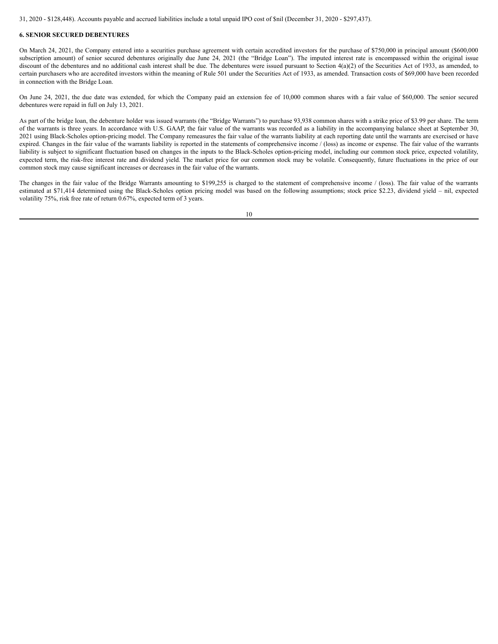31, 2020 - \$128,448). Accounts payable and accrued liabilities include a total unpaid IPO cost of \$nil (December 31, 2020 - \$297,437).

## **6. SENIOR SECURED DEBENTURES**

On March 24, 2021, the Company entered into a securities purchase agreement with certain accredited investors for the purchase of \$750,000 in principal amount (\$600,000 subscription amount) of senior secured debentures originally due June 24, 2021 (the "Bridge Loan"). The imputed interest rate is encompassed within the original issue discount of the debentures and no additional cash interest shall be due. The debentures were issued pursuant to Section 4(a)(2) of the Securities Act of 1933, as amended, to certain purchasers who are accredited investors within the meaning of Rule 501 under the Securities Act of 1933, as amended. Transaction costs of \$69,000 have been recorded in connection with the Bridge Loan.

On June 24, 2021, the due date was extended, for which the Company paid an extension fee of 10,000 common shares with a fair value of \$60,000. The senior secured debentures were repaid in full on July 13, 2021.

As part of the bridge loan, the debenture holder was issued warrants (the "Bridge Warrants") to purchase 93,938 common shares with a strike price of \$3.99 per share. The term of the warrants is three years. In accordance with U.S. GAAP, the fair value of the warrants was recorded as a liability in the accompanying balance sheet at September 30, 2021 using Black-Scholes option-pricing model. The Company remeasures the fair value of the warrants liability at each reporting date until the warrants are exercised or have expired. Changes in the fair value of the warrants liability is reported in the statements of comprehensive income / (loss) as income or expense. The fair value of the warrants liability is subject to significant fluctuation based on changes in the inputs to the Black-Scholes option-pricing model, including our common stock price, expected volatility, expected term, the risk-free interest rate and dividend yield. The market price for our common stock may be volatile. Consequently, future fluctuations in the price of our common stock may cause significant increases or decreases in the fair value of the warrants.

The changes in the fair value of the Bridge Warrants amounting to \$199,255 is charged to the statement of comprehensive income / (loss). The fair value of the warrants estimated at \$71,414 determined using the Black-Scholes option pricing model was based on the following assumptions; stock price \$2.23, dividend yield – nil, expected volatility 75%, risk free rate of return 0.67%, expected term of 3 years.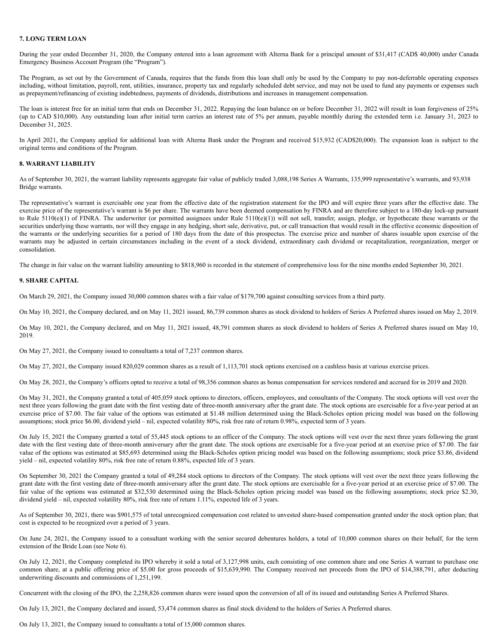#### **7. LONG TERM LOAN**

During the year ended December 31, 2020, the Company entered into a loan agreement with Alterna Bank for a principal amount of \$31,417 (CAD\$ 40,000) under Canada Emergency Business Account Program (the "Program").

The Program, as set out by the Government of Canada, requires that the funds from this loan shall only be used by the Company to pay non-deferrable operating expenses including, without limitation, payroll, rent, utilities, insurance, property tax and regularly scheduled debt service, and may not be used to fund any payments or expenses such as prepayment/refinancing of existing indebtedness, payments of dividends, distributions and increases in management compensation.

The loan is interest free for an initial term that ends on December 31, 2022. Repaying the loan balance on or before December 31, 2022 will result in loan forgiveness of 25% (up to CAD \$10,000). Any outstanding loan after initial term carries an interest rate of 5% per annum, payable monthly during the extended term i.e. January 31, 2023 to December 31, 2025.

In April 2021, the Company applied for additional loan with Alterna Bank under the Program and received \$15,932 (CAD\$20,000). The expansion loan is subject to the original terms and conditions of the Program.

## **8. WARRANT LIABILITY**

As of September 30, 2021, the warrant liability represents aggregate fair value of publicly traded 3,088,198 Series A Warrants, 135,999 representative's warrants, and 93,938 Bridge warrants.

The representative's warrant is exercisable one year from the effective date of the registration statement for the IPO and will expire three years after the effective date. The exercise price of the representative's warrant is \$6 per share. The warrants have been deemed compensation by FINRA and are therefore subject to a 180-day lock-up pursuant to Rule  $5110(e)(1)$  of FINRA. The underwriter (or permitted assignees under Rule  $5110(e)(1)$ ) will not sell, transfer, assign, pledge, or hypothecate these warrants or the securities underlying these warrants, nor will they engage in any hedging, short sale, derivative, put, or call transaction that would result in the effective economic disposition of the warrants or the underlying securities for a period of 180 days from the date of this prospectus. The exercise price and number of shares issuable upon exercise of the warrants may be adjusted in certain circumstances including in the event of a stock dividend, extraordinary cash dividend or recapitalization, reorganization, merger or consolidation.

The change in fair value on the warrant liability amounting to \$818,960 is recorded in the statement of comprehensive loss for the nine months ended September 30, 2021.

#### **9. SHARE CAPITAL**

On March 29, 2021, the Company issued 30,000 common shares with a fair value of \$179,700 against consulting services from a third party.

On May 10, 2021, the Company declared, and on May 11, 2021 issued, 86,739 common shares as stock dividend to holders of Series A Preferred shares issued on May 2, 2019.

On May 10, 2021, the Company declared, and on May 11, 2021 issued, 48,791 common shares as stock dividend to holders of Series A Preferred shares issued on May 10, 2019.

On May 27, 2021, the Company issued to consultants a total of 7,237 common shares.

On May 27, 2021, the Company issued 820,029 common shares as a result of 1,113,701 stock options exercised on a cashless basis at various exercise prices.

On May 28, 2021, the Company's officers opted to receive a total of 98,356 common shares as bonus compensation for services rendered and accrued for in 2019 and 2020.

On May 31, 2021, the Company granted a total of 405,059 stock options to directors, officers, employees, and consultants of the Company. The stock options will vest over the next three years following the grant date with the first vesting date of three-month anniversary after the grant date. The stock options are exercisable for a five-year period at an exercise price of \$7.00. The fair value of the options was estimated at \$1.48 million determined using the Black-Scholes option pricing model was based on the following assumptions; stock price \$6.00, dividend yield – nil, expected volatility 80%, risk free rate of return 0.98%, expected term of 3 years.

On July 15, 2021 the Company granted a total of 55,445 stock options to an officer of the Company. The stock options will vest over the next three years following the grant date with the first vesting date of three-month anniversary after the grant date. The stock options are exercisable for a five-year period at an exercise price of \$7.00. The fair value of the options was estimated at \$85,693 determined using the Black-Scholes option pricing model was based on the following assumptions; stock price \$3.86, dividend yield – nil, expected volatility 80%, risk free rate of return 0.88%, expected life of 3 years.

On September 30, 2021 the Company granted a total of 49,284 stock options to directors of the Company. The stock options will vest over the next three years following the grant date with the first vesting date of three-month anniversary after the grant date. The stock options are exercisable for a five-year period at an exercise price of \$7.00. The fair value of the options was estimated at \$32,530 determined using the Black-Scholes option pricing model was based on the following assumptions; stock price \$2.30, dividend yield – nil, expected volatility 80%, risk free rate of return 1.11%, expected life of 3 years.

As of September 30, 2021, there was \$901,575 of total unrecognized compensation cost related to unvested share-based compensation granted under the stock option plan; that cost is expected to be recognized over a period of 3 years.

On June 24, 2021, the Company issued to a consultant working with the senior secured debentures holders, a total of 10,000 common shares on their behalf, for the term extension of the Bride Loan (see Note 6).

On July 12, 2021, the Company completed its IPO whereby it sold a total of 3,127,998 units, each consisting of one common share and one Series A warrant to purchase one common share, at a public offering price of \$5.00 for gross proceeds of \$15,639,990. The Company received net proceeds from the IPO of \$14,388,791, after deducting underwriting discounts and commissions of 1,251,199.

Concurrent with the closing of the IPO, the 2,258,826 common shares were issued upon the conversion of all of its issued and outstanding Series A Preferred Shares.

On July 13, 2021, the Company declared and issued, 53,474 common shares as final stock dividend to the holders of Series A Preferred shares.

On July 13, 2021, the Company issued to consultants a total of 15,000 common shares.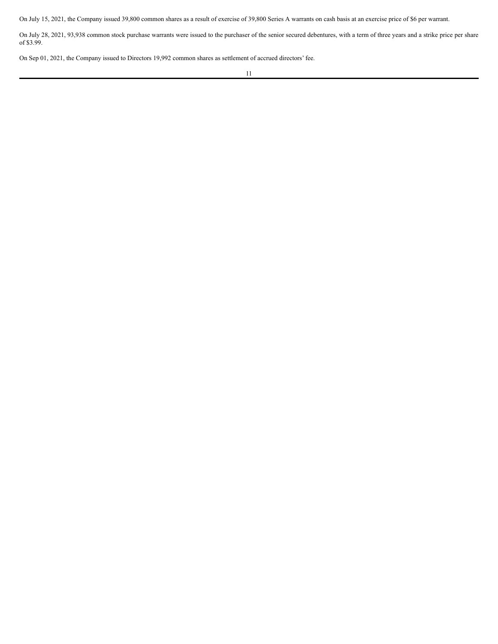On July 15, 2021, the Company issued 39,800 common shares as a result of exercise of 39,800 Series A warrants on cash basis at an exercise price of \$6 per warrant.

On July 28, 2021, 93,938 common stock purchase warrants were issued to the purchaser of the senior secured debentures, with a term of three years and a strike price per share of \$3.99.

On Sep 01, 2021, the Company issued to Directors 19,992 common shares as settlement of accrued directors' fee.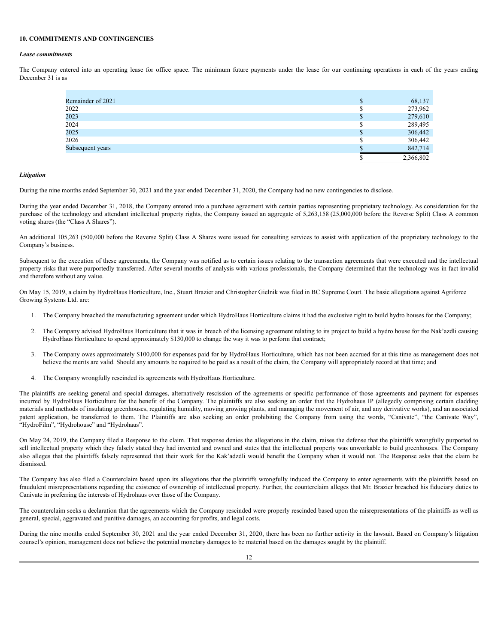#### **10. COMMITMENTS AND CONTINGENCIES**

#### *Lease commitments*

The Company entered into an operating lease for office space. The minimum future payments under the lease for our continuing operations in each of the years ending December 31 is as

| Remainder of 2021 |    | 68,137    |
|-------------------|----|-----------|
| 2022              |    | 273,962   |
| 2023              | ۰D | 279,610   |
| 2024              |    | 289,495   |
| 2025              |    | 306,442   |
| 2026              |    | 306,442   |
| Subsequent years  |    | 842,714   |
|                   |    | 2,366,802 |

#### *Litigation*

During the nine months ended September 30, 2021 and the year ended December 31, 2020, the Company had no new contingencies to disclose.

During the year ended December 31, 2018, the Company entered into a purchase agreement with certain parties representing proprietary technology. As consideration for the purchase of the technology and attendant intellectual property rights, the Company issued an aggregate of 5,263,158 (25,000,000 before the Reverse Split) Class A common voting shares (the "Class A Shares").

An additional 105,263 (500,000 before the Reverse Split) Class A Shares were issued for consulting services to assist with application of the proprietary technology to the Company's business.

Subsequent to the execution of these agreements, the Company was notified as to certain issues relating to the transaction agreements that were executed and the intellectual property risks that were purportedly transferred. After several months of analysis with various professionals, the Company determined that the technology was in fact invalid and therefore without any value.

On May 15, 2019, a claim by HydroHaus Horticulture, Inc., Stuart Brazier and Christopher Gielnik was filed in BC Supreme Court. The basic allegations against Agriforce Growing Systems Ltd. are:

- 1. The Company breached the manufacturing agreement under which HydroHaus Horticulture claims it had the exclusive right to build hydro houses for the Company;
- 2. The Company advised HydroHaus Horticulture that it was in breach of the licensing agreement relating to its project to build a hydro house for the Nak'azdli causing HydroHaus Horticulture to spend approximately \$130,000 to change the way it was to perform that contract;
- 3. The Company owes approximately \$100,000 for expenses paid for by HydroHaus Horticulture, which has not been accrued for at this time as management does not believe the merits are valid. Should any amounts be required to be paid as a result of the claim, the Company will appropriately record at that time; and
- 4. The Company wrongfully rescinded its agreements with HydroHaus Horticulture.

The plaintiffs are seeking general and special damages, alternatively rescission of the agreements or specific performance of those agreements and payment for expenses incurred by HydroHaus Horticulture for the benefit of the Company. The plaintiffs are also seeking an order that the Hydrohaus IP (allegedly comprising certain cladding materials and methods of insulating greenhouses, regulating humidity, moving growing plants, and managing the movement of air, and any derivative works), and an associated patent application, be transferred to them. The Plaintiffs are also seeking an order prohibiting the Company from using the words, "Canivate", "the Canivate Way", "HydroFilm", "Hydrohouse" and "Hydrohaus".

On May 24, 2019, the Company filed a Response to the claim. That response denies the allegations in the claim, raises the defense that the plaintiffs wrongfully purported to sell intellectual property which they falsely stated they had invented and owned and states that the intellectual property was unworkable to build greenhouses. The Company also alleges that the plaintiffs falsely represented that their work for the Kak'adzdli would benefit the Company when it would not. The Response asks that the claim be dismissed.

The Company has also filed a Counterclaim based upon its allegations that the plaintiffs wrongfully induced the Company to enter agreements with the plaintiffs based on fraudulent misrepresentations regarding the existence of ownership of intellectual property. Further, the counterclaim alleges that Mr. Brazier breached his fiduciary duties to Canivate in preferring the interests of Hydrohaus over those of the Company.

The counterclaim seeks a declaration that the agreements which the Company rescinded were properly rescinded based upon the misrepresentations of the plaintiffs as well as general, special, aggravated and punitive damages, an accounting for profits, and legal costs.

During the nine months ended September 30, 2021 and the year ended December 31, 2020, there has been no further activity in the lawsuit. Based on Company's litigation counsel's opinion, management does not believe the potential monetary damages to be material based on the damages sought by the plaintiff.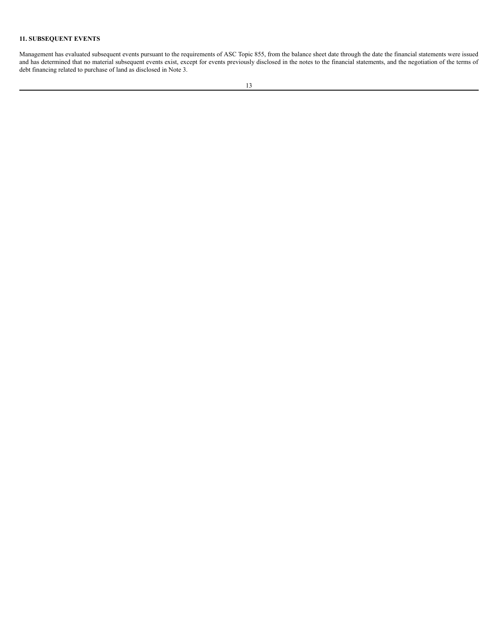# **11. SUBSEQUENT EVENTS**

Management has evaluated subsequent events pursuant to the requirements of ASC Topic 855, from the balance sheet date through the date the financial statements were issued and has determined that no material subsequent events exist, except for events previously disclosed in the notes to the financial statements, and the negotiation of the terms of debt financing related to purchase of land as disclosed in Note 3.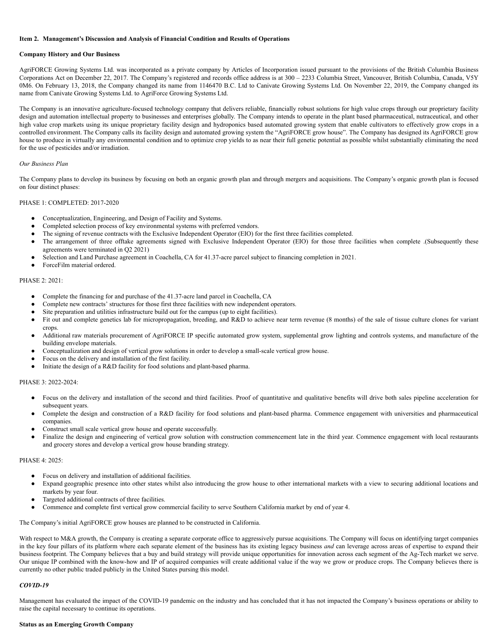#### <span id="page-17-0"></span>**Item 2. Management's Discussion and Analysis of Financial Condition and Results of Operations**

#### **Company History and Our Business**

AgriFORCE Growing Systems Ltd. was incorporated as a private company by Articles of Incorporation issued pursuant to the provisions of the British Columbia Business Corporations Act on December 22, 2017. The Company's registered and records office address is at 300 – 2233 Columbia Street, Vancouver, British Columbia, Canada, V5Y 0M6. On February 13, 2018, the Company changed its name from 1146470 B.C. Ltd to Canivate Growing Systems Ltd. On November 22, 2019, the Company changed its name from Canivate Growing Systems Ltd. to AgriForce Growing Systems Ltd.

The Company is an innovative agriculture-focused technology company that delivers reliable, financially robust solutions for high value crops through our proprietary facility design and automation intellectual property to businesses and enterprises globally. The Company intends to operate in the plant based pharmaceutical, nutraceutical, and other high value crop markets using its unique proprietary facility design and hydroponics based automated growing system that enable cultivators to effectively grow crops in a controlled environment. The Company calls its facility design and automated growing system the "AgriFORCE grow house". The Company has designed its AgriFORCE grow house to produce in virtually any environmental condition and to optimize crop yields to as near their full genetic potential as possible whilst substantially eliminating the need for the use of pesticides and/or irradiation.

#### *Our Business Plan*

The Company plans to develop its business by focusing on both an organic growth plan and through mergers and acquisitions. The Company's organic growth plan is focused on four distinct phases:

#### PHASE 1: COMPLETED: 2017-2020

- Conceptualization, Engineering, and Design of Facility and Systems.
- Completed selection process of key environmental systems with preferred vendors.
- The signing of revenue contracts with the Exclusive Independent Operator (EIO) for the first three facilities completed.
- The arrangement of three offtake agreements signed with Exclusive Independent Operator (EIO) for those three facilities when complete .(Subsequently these agreements were terminated in Q2 2021)
- Selection and Land Purchase agreement in Coachella, CA for 41.37-acre parcel subject to financing completion in 2021.
- ForceFilm material ordered.

#### PHASE 2: 2021:

- Complete the financing for and purchase of the 41.37-acre land parcel in Coachella, CA
- Complete new contracts' structures for those first three facilities with new independent operators.
- Site preparation and utilities infrastructure build out for the campus (up to eight facilities).
- Fit out and complete genetics lab for micropropagation, breeding, and R&D to achieve near term revenue (8 months) of the sale of tissue culture clones for variant crops.
- Additional raw materials procurement of AgriFORCE IP specific automated grow system, supplemental grow lighting and controls systems, and manufacture of the building envelope materials.
- Conceptualization and design of vertical grow solutions in order to develop a small-scale vertical grow house.
- Focus on the delivery and installation of the first facility.
- Initiate the design of a R&D facility for food solutions and plant-based pharma.

#### PHASE 3: 2022-2024:

- Focus on the delivery and installation of the second and third facilities. Proof of quantitative and qualitative benefits will drive both sales pipeline acceleration for subsequent years.
- Complete the design and construction of a R&D facility for food solutions and plant-based pharma. Commence engagement with universities and pharmaceutical companies.
- Construct small scale vertical grow house and operate successfully.
- Finalize the design and engineering of vertical grow solution with construction commencement late in the third year. Commence engagement with local restaurants and grocery stores and develop a vertical grow house branding strategy.

#### PHASE 4: 2025:

- Focus on delivery and installation of additional facilities.
- Expand geographic presence into other states whilst also introducing the grow house to other international markets with a view to securing additional locations and markets by year four.
- Targeted additional contracts of three facilities.
- Commence and complete first vertical grow commercial facility to serve Southern California market by end of year 4.

The Company's initial AgriFORCE grow houses are planned to be constructed in California.

With respect to M&A growth, the Company is creating a separate corporate office to aggressively pursue acquisitions. The Company will focus on identifying target companies in the key four pillars of its platform where each separate element of the business has its existing legacy business *and* can leverage across areas of expertise to expand their business footprint. The Company believes that a buy and build strategy will provide unique opportunities for innovation across each segment of the Ag-Tech market we serve. Our unique IP combined with the know-how and IP of acquired companies will create additional value if the way we grow or produce crops. The Company believes there is currently no other public traded publicly in the United States pursing this model.

#### *COVID-19*

Management has evaluated the impact of the COVID-19 pandemic on the industry and has concluded that it has not impacted the Company's business operations or ability to raise the capital necessary to continue its operations.

#### **Status as an Emerging Growth Company**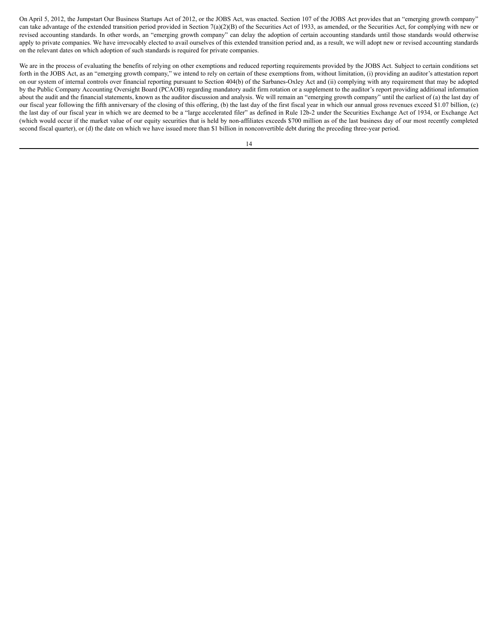On April 5, 2012, the Jumpstart Our Business Startups Act of 2012, or the JOBS Act, was enacted. Section 107 of the JOBS Act provides that an "emerging growth company" can take advantage of the extended transition period provided in Section 7(a)(2)(B) of the Securities Act of 1933, as amended, or the Securities Act, for complying with new or revised accounting standards. In other words, an "emerging growth company" can delay the adoption of certain accounting standards until those standards would otherwise apply to private companies. We have irrevocably elected to avail ourselves of this extended transition period and, as a result, we will adopt new or revised accounting standards on the relevant dates on which adoption of such standards is required for private companies.

We are in the process of evaluating the benefits of relying on other exemptions and reduced reporting requirements provided by the JOBS Act. Subject to certain conditions set forth in the JOBS Act, as an "emerging growth company," we intend to rely on certain of these exemptions from, without limitation, (i) providing an auditor's attestation report on our system of internal controls over financial reporting pursuant to Section 404(b) of the Sarbanes-Oxley Act and (ii) complying with any requirement that may be adopted by the Public Company Accounting Oversight Board (PCAOB) regarding mandatory audit firm rotation or a supplement to the auditor's report providing additional information about the audit and the financial statements, known as the auditor discussion and analysis. We will remain an "emerging growth company" until the earliest of (a) the last day of our fiscal year following the fifth anniversary of the closing of this offering, (b) the last day of the first fiscal year in which our annual gross revenues exceed \$1.07 billion, (c) the last day of our fiscal year in which we are deemed to be a "large accelerated filer" as defined in Rule 12b-2 under the Securities Exchange Act of 1934, or Exchange Act (which would occur if the market value of our equity securities that is held by non-affiliates exceeds \$700 million as of the last business day of our most recently completed second fiscal quarter), or (d) the date on which we have issued more than \$1 billion in nonconvertible debt during the preceding three-year period.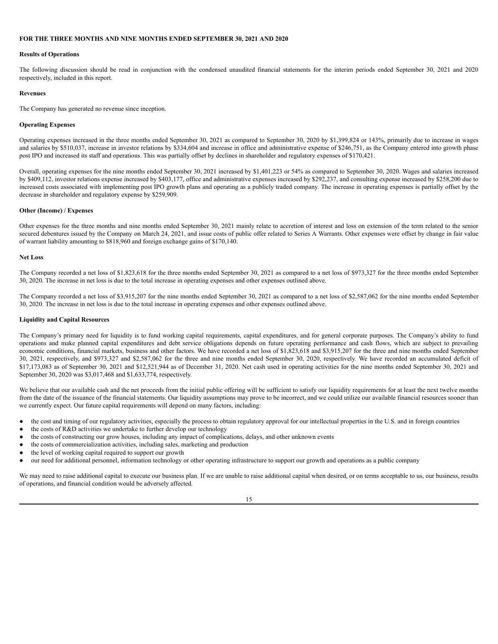#### **FOR THE THREE MONTHS AND NINE MONTHS ENDED SEPTEMBER 30, 2021 AND 2020**

#### **Results of Operations**

The following discussion should be read in conjunction with the condensed unaudited financial statements for the interim periods ended September 30, 2021 and 2020 respectively, included in this report.

#### **Revenues**

The Company has generated no revenue since inception.

#### **Operating Expenses**

Operating expenses increased in the three months ended September 30, 2021 as compared to September 30, 2020 by \$1,399,824 or 143%, primarily due to increase in wages and salaries by \$510,037, increase in investor relations by \$334,604 and increase in office and administrative expense of \$246,751, as the Company entered into growth phase post IPO and increased its staff and operations. This was partially offset by declines in shareholder and regulatory expenses of \$170,421.

Overall, operating expenses for the nine months ended September 30, 2021 increased by \$1,401,223 or 54% as compared to September 30, 2020. Wages and salaries increased by \$409,112, investor relations expense increased by \$403,177, office and administrative expenses increased by \$292,237, and consulting expense increased by \$258,200 due to increased costs associated with implementing post IPO growth plans and operating as a publicly traded company. The increase in operating expenses is partially offset by the decrease in shareholder and regulatory expense by \$259,909.

#### **Other (Income) / Expenses**

Other expenses for the three months and nine months ended September 30, 2021 mainly relate to accretion of interest and loss on extension of the term related to the senior secured debentures issued by the Company on March 24, 2021, and issue costs of public offer related to Series A Warrants. Other expenses were offset by change in fair value of warrant liability amounting to \$818,960 and foreign exchange gains of \$170,140.

#### **Net Loss**

The Company recorded a net loss of \$1,823,618 for the three months ended September 30, 2021 as compared to a net loss of \$973,327 for the three months ended September 30, 2020. The increase in net loss is due to the total increase in operating expenses and other expenses outlined above.

The Company recorded a net loss of \$3,915,207 for the nine months ended September 30, 2021 as compared to a net loss of \$2,587,062 for the nine months ended September 30, 2020. The increase in net loss is due to the total increase in operating expenses and other expenses outlined above.

#### **Liquidity and Capital Resources**

The Company's primary need for liquidity is to fund working capital requirements, capital expenditures, and for general corporate purposes. The Company's ability to fund operations and make planned capital expenditures and debt service obligations depends on future operating performance and cash flows, which are subject to prevailing economic conditions, financial markets, business and other factors. We have recorded a net loss of \$1,823,618 and \$3,915,207 for the three and nine months ended September 30, 2021, respectively, and \$973,327 and \$2,587,062 for the three and nine months ended September 30, 2020, respectively. We have recorded an accumulated deficit of \$17,173,083 as of September 30, 2021 and \$12,521,944 as of December 31, 2020. Net cash used in operating activities for the nine months ended September 30, 2021 and September 30, 2020 was \$3,017,468 and \$1,633,774, respectively.

We believe that our available cash and the net proceeds from the initial public offering will be sufficient to satisfy our liquidity requirements for at least the next twelve months from the date of the issuance of the financial statements. Our liquidity assumptions may prove to be incorrect, and we could utilize our available financial resources sooner than we currently expect. Our future capital requirements will depend on many factors, including:

- the cost and timing of our regulatory activities, especially the process to obtain regulatory approval for our intellectual properties in the U.S. and in foreign countries
- the costs of R&D activities we undertake to further develop our technology
- the costs of constructing our grow houses, including any impact of complications, delays, and other unknown events
- the costs of commercialization activities, including sales, marketing and production
- the level of working capital required to support our growth
- our need for additional personnel, information technology or other operating infrastructure to support our growth and operations as a public company

We may need to raise additional capital to execute our business plan. If we are unable to raise additional capital when desired, or on terms acceptable to us, our business, results of operations, and financial condition would be adversely affected.

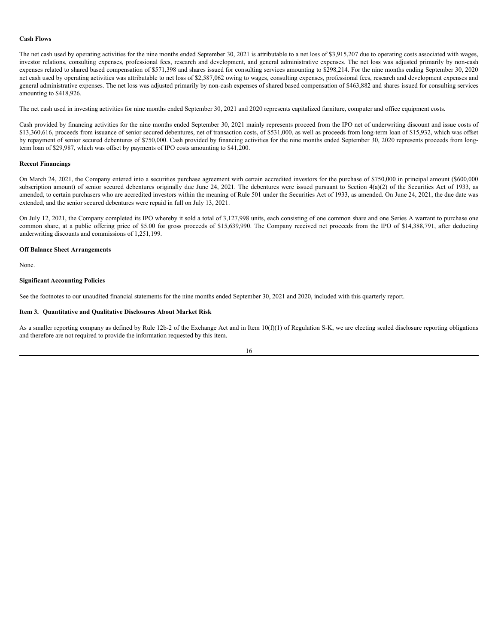#### **Cash Flows**

The net cash used by operating activities for the nine months ended September 30, 2021 is attributable to a net loss of \$3,915,207 due to operating costs associated with wages, investor relations, consulting expenses, professional fees, research and development, and general administrative expenses. The net loss was adjusted primarily by non-cash expenses related to shared based compensation of \$571,398 and shares issued for consulting services amounting to \$298,214. For the nine months ending September 30, 2020 net cash used by operating activities was attributable to net loss of \$2,587,062 owing to wages, consulting expenses, professional fees, research and development expenses and general administrative expenses. The net loss was adjusted primarily by non-cash expenses of shared based compensation of \$463,882 and shares issued for consulting services amounting to \$418,926.

The net cash used in investing activities for nine months ended September 30, 2021 and 2020 represents capitalized furniture, computer and office equipment costs.

Cash provided by financing activities for the nine months ended September 30, 2021 mainly represents proceed from the IPO net of underwriting discount and issue costs of \$13,360,616, proceeds from issuance of senior secured debentures, net of transaction costs, of \$531,000, as well as proceeds from long-term loan of \$15,932, which was offset by repayment of senior secured debentures of \$750,000. Cash provided by financing activities for the nine months ended September 30, 2020 represents proceeds from longterm loan of \$29,987, which was offset by payments of IPO costs amounting to \$41,200.

#### **Recent Financings**

On March 24, 2021, the Company entered into a securities purchase agreement with certain accredited investors for the purchase of \$750,000 in principal amount (\$600,000 subscription amount) of senior secured debentures originally due June 24, 2021. The debentures were issued pursuant to Section  $4(a)(2)$  of the Securities Act of 1933, as amended, to certain purchasers who are accredited investors within the meaning of Rule 501 under the Securities Act of 1933, as amended. On June 24, 2021, the due date was extended, and the senior secured debentures were repaid in full on July 13, 2021.

On July 12, 2021, the Company completed its IPO whereby it sold a total of 3,127,998 units, each consisting of one common share and one Series A warrant to purchase one common share, at a public offering price of \$5.00 for gross proceeds of \$15,639,990. The Company received net proceeds from the IPO of \$14,388,791, after deducting underwriting discounts and commissions of 1,251,199.

# **Off Balance Sheet Arrangements**

None.

#### **Significant Accounting Policies**

See the footnotes to our unaudited financial statements for the nine months ended September 30, 2021 and 2020, included with this quarterly report.

#### <span id="page-20-0"></span>**Item 3. Quantitative and Qualitative Disclosures About Market Risk**

As a smaller reporting company as defined by Rule 12b-2 of the Exchange Act and in Item 10(f)(1) of Regulation S-K, we are electing scaled disclosure reporting obligations and therefore are not required to provide the information requested by this item.

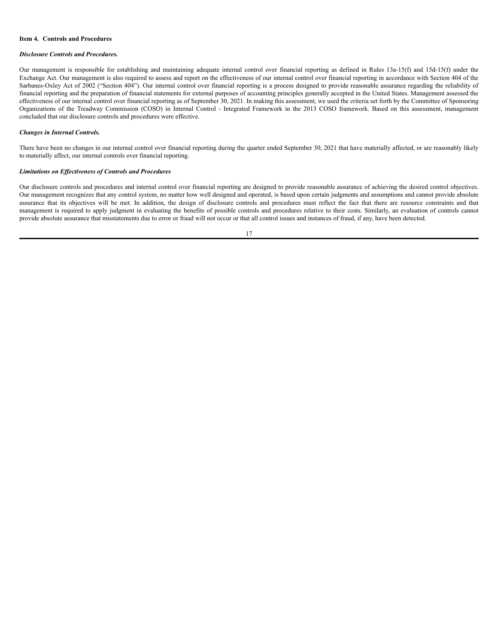#### <span id="page-21-0"></span>**Item 4. Controls and Procedures**

#### *Disclosure Controls and Procedures.*

Our management is responsible for establishing and maintaining adequate internal control over financial reporting as defined in Rules 13a-15(f) and 15d-15(f) under the Exchange Act. Our management is also required to assess and report on the effectiveness of our internal control over financial reporting in accordance with Section 404 of the Sarbanes-Oxley Act of 2002 ("Section 404"). Our internal control over financial reporting is a process designed to provide reasonable assurance regarding the reliability of financial reporting and the preparation of financial statements for external purposes of accounting principles generally accepted in the United States. Management assessed the effectiveness of our internal control over financial reporting as of September 30, 2021. In making this assessment, we used the criteria set forth by the Committee of Sponsoring Organizations of the Treadway Commission (COSO) in Internal Control - Integrated Framework in the 2013 COSO framework. Based on this assessment, management concluded that our disclosure controls and procedures were effective.

#### *Changes in Internal Controls.*

There have been no changes in our internal control over financial reporting during the quarter ended September 30, 2021 that have materially affected, or are reasonably likely to materially affect, our internal controls over financial reporting.

#### *Limitations on Ef ectiveness of Controls and Procedures*

Our disclosure controls and procedures and internal control over financial reporting are designed to provide reasonable assurance of achieving the desired control objectives. Our management recognizes that any control system, no matter how well designed and operated, is based upon certain judgments and assumptions and cannot provide absolute assurance that its objectives will be met. In addition, the design of disclosure controls and procedures must reflect the fact that there are resource constraints and that management is required to apply judgment in evaluating the benefits of possible controls and procedures relative to their costs. Similarly, an evaluation of controls cannot provide absolute assurance that misstatements due to error or fraud will not occur or that all control issues and instances of fraud, if any, have been detected.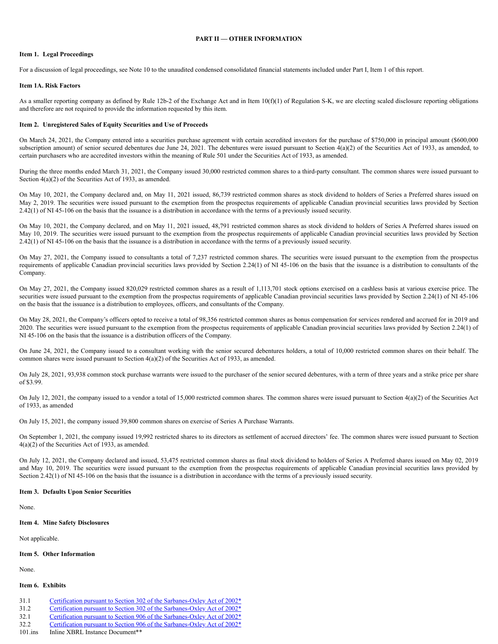#### **PART II — OTHER INFORMATION**

#### <span id="page-22-1"></span><span id="page-22-0"></span>**Item 1. Legal Proceedings**

For a discussion of legal proceedings, see Note 10 to the unaudited condensed consolidated financial statements included under Part I, Item 1 of this report.

#### <span id="page-22-2"></span>**Item 1A. Risk Factors**

As a smaller reporting company as defined by Rule 12b-2 of the Exchange Act and in Item 10(f)(1) of Regulation S-K, we are electing scaled disclosure reporting obligations and therefore are not required to provide the information requested by this item.

#### <span id="page-22-3"></span>**Item 2. Unregistered Sales of Equity Securities and Use of Proceeds**

On March 24, 2021, the Company entered into a securities purchase agreement with certain accredited investors for the purchase of \$750,000 in principal amount (\$600,000 subscription amount) of senior secured debentures due June 24, 2021. The debentures were issued pursuant to Section 4(a)(2) of the Securities Act of 1933, as amended, to certain purchasers who are accredited investors within the meaning of Rule 501 under the Securities Act of 1933, as amended.

During the three months ended March 31, 2021, the Company issued 30,000 restricted common shares to a third-party consultant. The common shares were issued pursuant to Section 4(a)(2) of the Securities Act of 1933, as amended.

On May 10, 2021, the Company declared and, on May 11, 2021 issued, 86,739 restricted common shares as stock dividend to holders of Series a Preferred shares issued on May 2, 2019. The securities were issued pursuant to the exemption from the prospectus requirements of applicable Canadian provincial securities laws provided by Section 2.42(1) of NI 45-106 on the basis that the issuance is a distribution in accordance with the terms of a previously issued security.

On May 10, 2021, the Company declared, and on May 11, 2021 issued, 48,791 restricted common shares as stock dividend to holders of Series A Preferred shares issued on May 10, 2019. The securities were issued pursuant to the exemption from the prospectus requirements of applicable Canadian provincial securities laws provided by Section 2.42(1) of NI 45-106 on the basis that the issuance is a distribution in accordance with the terms of a previously issued security.

On May 27, 2021, the Company issued to consultants a total of 7,237 restricted common shares. The securities were issued pursuant to the exemption from the prospectus requirements of applicable Canadian provincial securities laws provided by Section 2.24(1) of NI 45-106 on the basis that the issuance is a distribution to consultants of the Company.

On May 27, 2021, the Company issued 820,029 restricted common shares as a result of 1,113,701 stock options exercised on a cashless basis at various exercise price. The securities were issued pursuant to the exemption from the prospectus requirements of applicable Canadian provincial securities laws provided by Section 2.24(1) of NI 45-106 on the basis that the issuance is a distribution to employees, officers, and consultants of the Company.

On May 28, 2021, the Company's officers opted to receive a total of 98,356 restricted common shares as bonus compensation for services rendered and accrued for in 2019 and 2020. The securities were issued pursuant to the exemption from the prospectus requirements of applicable Canadian provincial securities laws provided by Section 2.24(1) of NI 45-106 on the basis that the issuance is a distribution officers of the Company.

On June 24, 2021, the Company issued to a consultant working with the senior secured debentures holders, a total of 10,000 restricted common shares on their behalf. The common shares were issued pursuant to Section 4(a)(2) of the Securities Act of 1933, as amended.

On July 28, 2021, 93,938 common stock purchase warrants were issued to the purchaser of the senior secured debentures, with a term of three years and a strike price per share of \$3.99.

On July 12, 2021, the company issued to a vendor a total of 15,000 restricted common shares. The common shares were issued pursuant to Section 4(a)(2) of the Securities Act of 1933, as amended

On July 15, 2021, the company issued 39,800 common shares on exercise of Series A Purchase Warrants.

On September 1, 2021, the company issued 19,992 restricted shares to its directors as settlement of accrued directors' fee. The common shares were issued pursuant to Section 4(a)(2) of the Securities Act of 1933, as amended.

On July 12, 2021, the Company declared and issued, 53,475 restricted common shares as final stock dividend to holders of Series A Preferred shares issued on May 02, 2019 and May 10, 2019. The securities were issued pursuant to the exemption from the prospectus requirements of applicable Canadian provincial securities laws provided by Section 2.42(1) of NI 45-106 on the basis that the issuance is a distribution in accordance with the terms of a previously issued security.

#### <span id="page-22-4"></span>**Item 3. Defaults Upon Senior Securities**

None.

#### <span id="page-22-5"></span>**Item 4. Mine Safety Disclosures**

Not applicable.

#### <span id="page-22-6"></span>**Item 5. Other Information**

None.

#### <span id="page-22-7"></span>**Item 6. Exhibits**

- 31.1 Certification pursuant to Section 302 of the [Sarbanes-Oxley](https://s3.amazonaws.com/content.stockpr.com/sec/0001493152-21-028535/ex31-1.htm) Act of 2002\*
- 31.2 Certification pursuant to Section 302 of the [Sarbanes-Oxley](https://s3.amazonaws.com/content.stockpr.com/sec/0001493152-21-028535/ex31-2.htm) Act of 2002\* 32.1 Certification pursuant to Section 906 of the [Sarbanes-Oxley](https://s3.amazonaws.com/content.stockpr.com/sec/0001493152-21-028535/ex32-1.htm) Act of 2002\*
- 32.2 Certification pursuant to Section 906 of the [Sarbanes-Oxley](https://s3.amazonaws.com/content.stockpr.com/sec/0001493152-21-028535/ex32-2.htm) Act of 2002\*
- 101 ins Inline XBRL Instance Document\*\*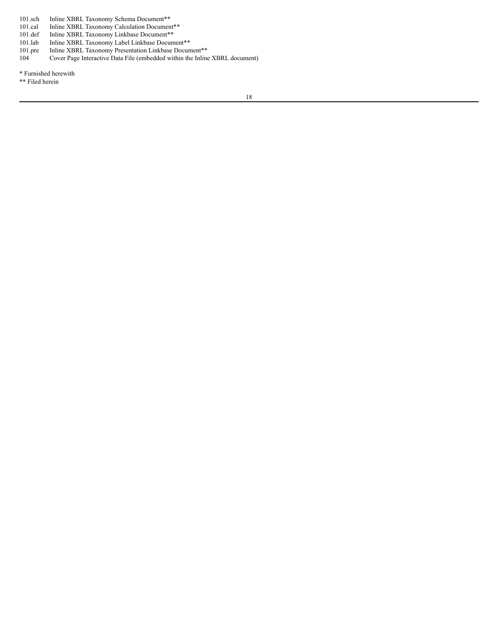101.sch Inline XBRL Taxonomy Schema Document\*\*<br>101.cal Inline XBRL Taxonomy Calculation Documen

101.cal Inline XBRL Taxonomy Calculation Document\*\*

101.def Inline XBRL Taxonomy Linkbase Document\*\*

101.lab Inline XBRL Taxonomy Label Linkbase Document\*\*

101.pre Inline XBRL Taxonomy Presentation Linkbase Document\*\*<br>104 Cover Page Interactive Data File (embedded within the Inline Cover Page Interactive Data File (embedded within the Inline XBRL document)

\* Furnished herewith

\*\* Filed herein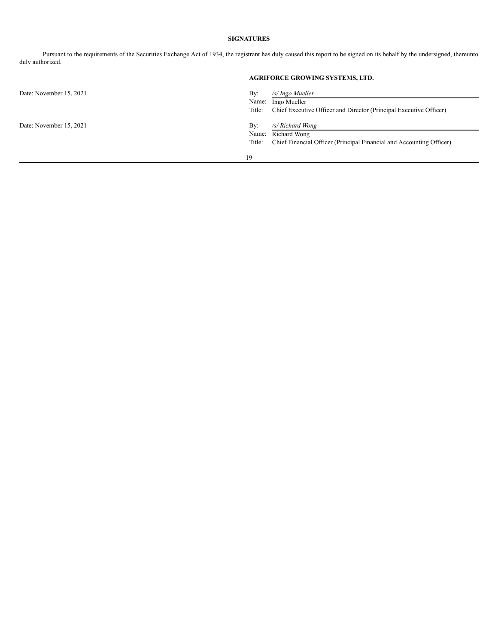# **SIGNATURES**

Pursuant to the requirements of the Securities Exchange Act of 1934, the registrant has duly caused this report to be signed on its behalf by the undersigned, thereunto duly authorized.

|                         |                        | <b>AGRIFORCE GROWING SYSTEMS, LTD.</b>                                                                   |
|-------------------------|------------------------|----------------------------------------------------------------------------------------------------------|
| Date: November 15, 2021 | By:<br>Name:<br>Title: | /s/ Ingo Mueller<br>Ingo Mueller<br>Chief Executive Officer and Director (Principal Executive Officer)   |
| Date: November 15, 2021 | By:<br>Name:<br>Title: | /s/ Richard Wong<br>Richard Wong<br>Chief Financial Officer (Principal Financial and Accounting Officer) |
|                         | 19                     |                                                                                                          |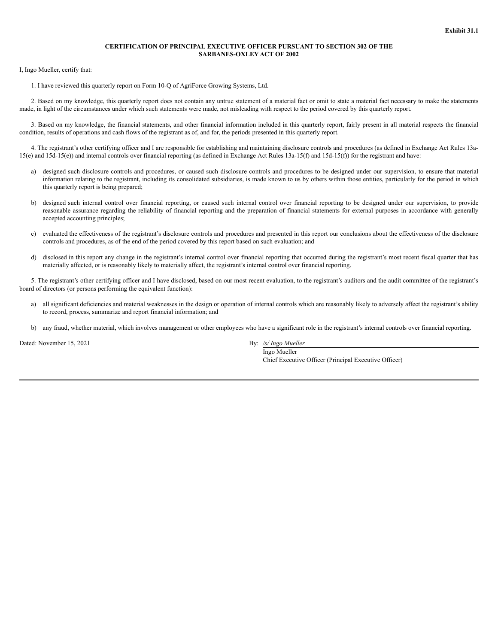#### **CERTIFICATION OF PRINCIPAL EXECUTIVE OFFICER PURSUANT TO SECTION 302 OF THE SARBANES-OXLEY ACT OF 2002**

I, Ingo Mueller, certify that:

1. I have reviewed this quarterly report on Form 10-Q of AgriForce Growing Systems, Ltd.

2. Based on my knowledge, this quarterly report does not contain any untrue statement of a material fact or omit to state a material fact necessary to make the statements made, in light of the circumstances under which such statements were made, not misleading with respect to the period covered by this quarterly report.

3. Based on my knowledge, the financial statements, and other financial information included in this quarterly report, fairly present in all material respects the financial condition, results of operations and cash flows of the registrant as of, and for, the periods presented in this quarterly report.

4. The registrant's other certifying officer and I are responsible for establishing and maintaining disclosure controls and procedures (as defined in Exchange Act Rules 13a-15(e) and 15d-15(e)) and internal controls over financial reporting (as defined in Exchange Act Rules 13a-15(f) and 15d-15(f)) for the registrant and have:

- a) designed such disclosure controls and procedures, or caused such disclosure controls and procedures to be designed under our supervision, to ensure that material information relating to the registrant, including its consolidated subsidiaries, is made known to us by others within those entities, particularly for the period in which this quarterly report is being prepared;
- b) designed such internal control over financial reporting, or caused such internal control over financial reporting to be designed under our supervision, to provide reasonable assurance regarding the reliability of financial reporting and the preparation of financial statements for external purposes in accordance with generally accepted accounting principles;
- c) evaluated the effectiveness of the registrant's disclosure controls and procedures and presented in this report our conclusions about the effectiveness of the disclosure controls and procedures, as of the end of the period covered by this report based on such evaluation; and
- d) disclosed in this report any change in the registrant's internal control over financial reporting that occurred during the registrant's most recent fiscal quarter that has materially affected, or is reasonably likely to materially affect, the registrant's internal control over financial reporting.

5. The registrant's other certifying officer and I have disclosed, based on our most recent evaluation, to the registrant's auditors and the audit committee of the registrant's board of directors (or persons performing the equivalent function):

- a) all significant deficiencies and material weaknesses in the design or operation of internal controls which are reasonably likely to adversely affect the registrant's ability to record, process, summarize and report financial information; and
- b) any fraud, whether material, which involves management or other employees who have a significant role in the registrant's internal controls over financial reporting.

Dated: November 15, 2021 By: */s/ Ingo Mueller*

Ingo Mueller Chief Executive Officer (Principal Executive Officer)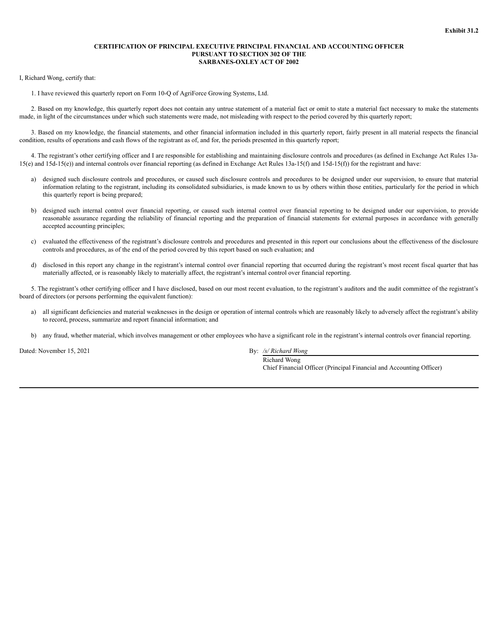#### **CERTIFICATION OF PRINCIPAL EXECUTIVE PRINCIPAL FINANCIAL AND ACCOUNTING OFFICER PURSUANT TO SECTION 302 OF THE SARBANES-OXLEY ACT OF 2002**

I, Richard Wong, certify that:

1. I have reviewed this quarterly report on Form 10-Q of AgriForce Growing Systems, Ltd.

2. Based on my knowledge, this quarterly report does not contain any untrue statement of a material fact or omit to state a material fact necessary to make the statements made, in light of the circumstances under which such statements were made, not misleading with respect to the period covered by this quarterly report;

3. Based on my knowledge, the financial statements, and other financial information included in this quarterly report, fairly present in all material respects the financial condition, results of operations and cash flows of the registrant as of, and for, the periods presented in this quarterly report;

4. The registrant's other certifying officer and I are responsible for establishing and maintaining disclosure controls and procedures (as defined in Exchange Act Rules 13a- $15(e)$  and  $15d-15(e)$  and internal controls over financial reporting (as defined in Exchange Act Rules  $13a-15(f)$  and  $15d-15(f)$ ) for the registrant and have:

- a) designed such disclosure controls and procedures, or caused such disclosure controls and procedures to be designed under our supervision, to ensure that material information relating to the registrant, including its consolidated subsidiaries, is made known to us by others within those entities, particularly for the period in which this quarterly report is being prepared;
- b) designed such internal control over financial reporting, or caused such internal control over financial reporting to be designed under our supervision, to provide reasonable assurance regarding the reliability of financial reporting and the preparation of financial statements for external purposes in accordance with generally accepted accounting principles;
- c) evaluated the effectiveness of the registrant's disclosure controls and procedures and presented in this report our conclusions about the effectiveness of the disclosure controls and procedures, as of the end of the period covered by this report based on such evaluation; and
- d) disclosed in this report any change in the registrant's internal control over financial reporting that occurred during the registrant's most recent fiscal quarter that has materially affected, or is reasonably likely to materially affect, the registrant's internal control over financial reporting.

5. The registrant's other certifying officer and I have disclosed, based on our most recent evaluation, to the registrant's auditors and the audit committee of the registrant's board of directors (or persons performing the equivalent function):

- a) all significant deficiencies and material weaknesses in the design or operation of internal controls which are reasonably likely to adversely affect the registrant's ability to record, process, summarize and report financial information; and
- b) any fraud, whether material, which involves management or other employees who have a significant role in the registrant's internal controls over financial reporting.

Dated: November 15, 2021 By: */s/ Richard Wong*

Richard Wong Chief Financial Officer (Principal Financial and Accounting Officer)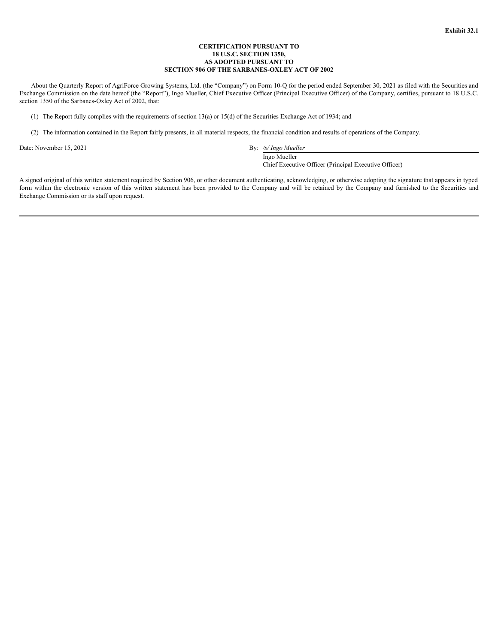#### **CERTIFICATION PURSUANT TO 18 U.S.C. SECTION 1350, AS ADOPTED PURSUANT TO SECTION 906 OF THE SARBANES-OXLEY ACT OF 2002**

About the Quarterly Report of AgriForce Growing Systems, Ltd. (the "Company") on Form 10-Q for the period ended September 30, 2021 as filed with the Securities and Exchange Commission on the date hereof (the "Report"), Ingo Mueller, Chief Executive Officer (Principal Executive Officer) of the Company, certifies, pursuant to 18 U.S.C. section 1350 of the Sarbanes-Oxley Act of 2002, that:

(1) The Report fully complies with the requirements of section 13(a) or 15(d) of the Securities Exchange Act of 1934; and

(2) The information contained in the Report fairly presents, in all material respects, the financial condition and results of operations of the Company.

Date: November 15, 2021 By: */s/ Ingo Mueller*

Ingo Mueller

Chief Executive Officer (Principal Executive Officer)

A signed original of this written statement required by Section 906, or other document authenticating, acknowledging, or otherwise adopting the signature that appears in typed form within the electronic version of this written statement has been provided to the Company and will be retained by the Company and furnished to the Securities and Exchange Commission or its staff upon request.